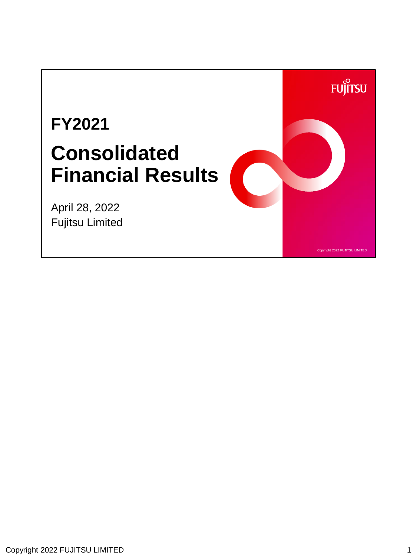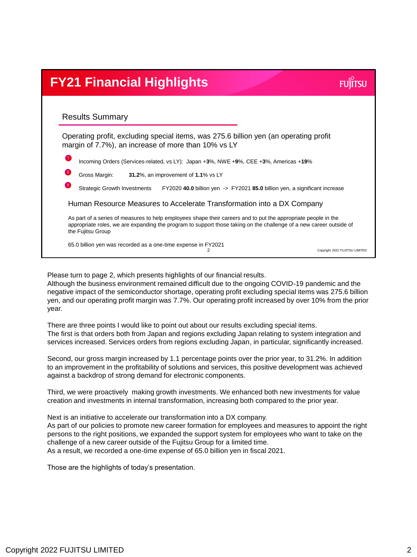## **FY21 Financial Highlights FUILTSU** Results Summary Operating profit, excluding special items, was 275.6 billion yen (an operating profit margin of 7.7%), an increase of more than 10% vs LY 1 Incoming Orders (Services-related, vs LY): Japan +**3**%, NWE +**9**%, CEE +**3**%, Americas +**19**% 2 Gross Margin: **31.2**%, an improvement of **1.1**% vs LY Strategic Growth Investments FY2020 **40.0** billion yen -> FY2021 **85.0** billion yen, a significant increase Human Resource Measures to Accelerate Transformation into a DX Company As part of a series of measures to help employees shape their careers and to put the appropriate people in the appropriate roles, we are expanding the program to support those taking on the challenge of a new career outside of the Fujitsu Group 65.0 billion yen was recorded as a one-time expense in FY2021  $\mathcal{D}$ Copyright 2022 FUJITSU LIMITED

Please turn to page 2, which presents highlights of our financial results.

Although the business environment remained difficult due to the ongoing COVID-19 pandemic and the negative impact of the semiconductor shortage, operating profit excluding special items was 275.6 billion yen, and our operating profit margin was 7.7%. Our operating profit increased by over 10% from the prior year.

There are three points I would like to point out about our results excluding special items. The first is that orders both from Japan and regions excluding Japan relating to system integration and services increased. Services orders from regions excluding Japan, in particular, significantly increased.

Second, our gross margin increased by 1.1 percentage points over the prior year, to 31.2%. In addition to an improvement in the profitability of solutions and services, this positive development was achieved against a backdrop of strong demand for electronic components.

Third, we were proactively making growth investments. We enhanced both new investments for value creation and investments in internal transformation, increasing both compared to the prior year.

Next is an initiative to accelerate our transformation into a DX company. As part of our policies to promote new career formation for employees and measures to appoint the right persons to the right positions, we expanded the support system for employees who want to take on the challenge of a new career outside of the Fujitsu Group for a limited time. As a result, we recorded a one-time expense of 65.0 billion yen in fiscal 2021.

Those are the highlights of today's presentation.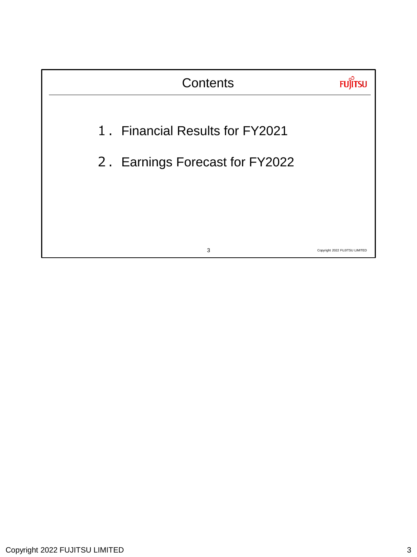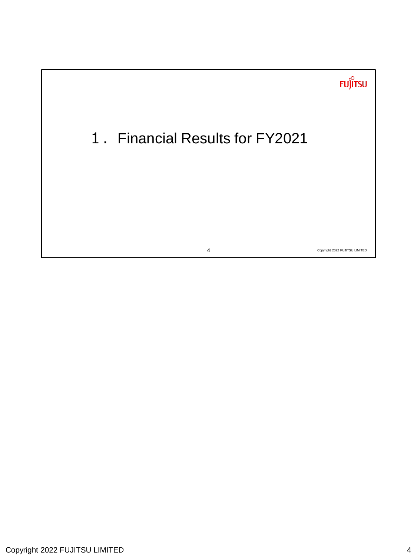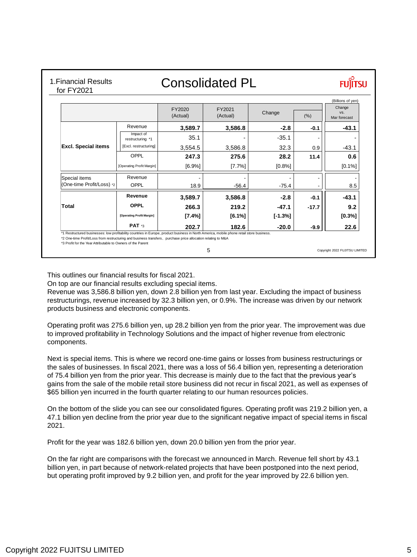## 1.Financial Results for FY2021

## Consolidated PL



Copyright 2022 FUJITSU LIMITED

|                            |                               | FY2020<br>(Actual) | FY2021<br>(Actual) | Change    | (%)     | Change<br>VS.<br>Mar forecast |
|----------------------------|-------------------------------|--------------------|--------------------|-----------|---------|-------------------------------|
|                            | Revenue                       | 3,589.7            | 3,586.8            | $-2.8$    | $-0.1$  | $-43.1$                       |
|                            | Impact of<br>restructuring *1 | 35.1               |                    | $-35.1$   |         |                               |
| <b>Excl. Special items</b> | [Excl. restructuring]         | 3,554.5            | 3,586.8            | 32.3      | 0.9     | $-43.1$                       |
|                            | OPPL                          | 247.3              | 275.6              | 28.2      | 11.4    | 0.6                           |
|                            | [Operating Profit Margin]     | [6.9%]             | [7.7%]             | [0.8%]    |         | [0.1%]                        |
| Special items              | Revenue                       |                    |                    |           |         |                               |
| (One-time Profit/Loss) *2  | OPPL                          | 18.9               | $-56.4$            | $-75.4$   |         | 8.5                           |
|                            | Revenue                       | 3,589.7            | 3,586.8            | $-2.8$    | $-0.1$  | $-43.1$                       |
| Total                      | <b>OPPL</b>                   | 266.3              | 219.2              | $-47.1$   | $-17.7$ | 9.2                           |
|                            | [Operating Profit Margin]     | $[7.4\%]$          | $[6.1\%]$          | $[-1.3%]$ |         | [0.3%]                        |
|                            | PAT <sup>*3</sup>             | 202.7              | 182.6              | $-20.0$   | -9.9    | 22.6                          |

This outlines our financial results for fiscal 2021.

On top are our financial results excluding special items.

Revenue was 3,586.8 billion yen, down 2.8 billion yen from last year. Excluding the impact of business restructurings, revenue increased by 32.3 billion yen, or 0.9%. The increase was driven by our network products business and electronic components.

5

Operating profit was 275.6 billion yen, up 28.2 billion yen from the prior year. The improvement was due to improved profitability in Technology Solutions and the impact of higher revenue from electronic components.

Next is special items. This is where we record one-time gains or losses from business restructurings or the sales of businesses. In fiscal 2021, there was a loss of 56.4 billion yen, representing a deterioration of 75.4 billion yen from the prior year. This decrease is mainly due to the fact that the previous year's gains from the sale of the mobile retail store business did not recur in fiscal 2021, as well as expenses of \$65 billion yen incurred in the fourth quarter relating to our human resources policies.

On the bottom of the slide you can see our consolidated figures. Operating profit was 219.2 billion yen, a 47.1 billion yen decline from the prior year due to the significant negative impact of special items in fiscal 2021.

Profit for the year was 182.6 billion yen, down 20.0 billion yen from the prior year.

On the far right are comparisons with the forecast we announced in March. Revenue fell short by 43.1 billion yen, in part because of network-related projects that have been postponed into the next period, but operating profit improved by 9.2 billion yen, and profit for the year improved by 22.6 billion yen.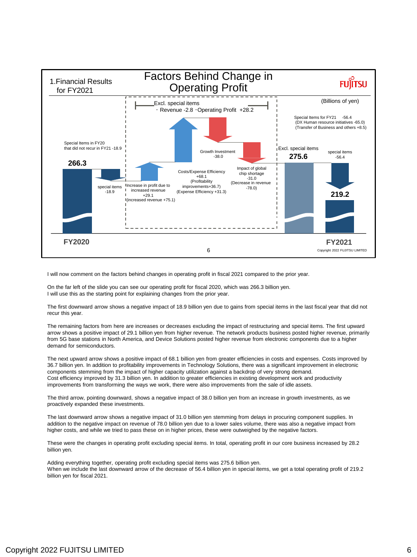

I will now comment on the factors behind changes in operating profit in fiscal 2021 compared to the prior year.

On the far left of the slide you can see our operating profit for fiscal 2020, which was 266.3 billion yen. I will use this as the starting point for explaining changes from the prior year.

The first downward arrow shows a negative impact of 18.9 billion yen due to gains from special items in the last fiscal year that did not recur this year.

The remaining factors from here are increases or decreases excluding the impact of restructuring and special items. The first upward arrow shows a positive impact of 29.1 billion yen from higher revenue. The network products business posted higher revenue, primarily from 5G base stations in North America, and Device Solutions posted higher revenue from electronic components due to a higher demand for semiconductors.

The next upward arrow shows a positive impact of 68.1 billion yen from greater efficiencies in costs and expenses. Costs improved by 36.7 billion yen. In addition to profitability improvements in Technology Solutions, there was a significant improvement in electronic components stemming from the impact of higher capacity utilization against a backdrop of very strong demand. Cost efficiency improved by 31.3 billion yen. In addition to greater efficiencies in existing development work and productivity improvements from transforming the ways we work, there were also improvements from the sale of idle assets.

The third arrow, pointing downward, shows a negative impact of 38.0 billion yen from an increase in growth investments, as we proactively expanded these investments.

The last downward arrow shows a negative impact of 31.0 billion yen stemming from delays in procuring component supplies. In addition to the negative impact on revenue of 78.0 billion yen due to a lower sales volume, there was also a negative impact from higher costs, and while we tried to pass these on in higher prices, these were outweighed by the negative factors.

These were the changes in operating profit excluding special items. In total, operating profit in our core business increased by 28.2 billion yen.

Adding everything together, operating profit excluding special items was 275.6 billion yen. When we include the last downward arrow of the decrease of 56.4 billion yen in special items, we get a total operating profit of 219.2 billion yen for fiscal 2021.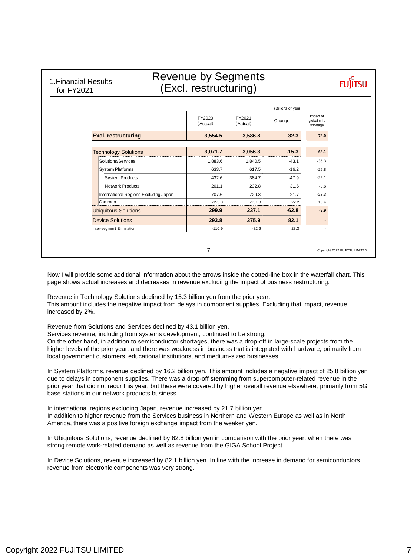1.Financial Results for FY2021

## Revenue by Segments (Excl. restructuring)

**FUJITSU** 

|                           |                                       | FY2020<br>(Actual) | FY2021<br>(Actual) | Change  | Impact of<br>global chip<br>shortage |
|---------------------------|---------------------------------------|--------------------|--------------------|---------|--------------------------------------|
|                           | <b>Excl. restructuring</b>            | 3,554.5            | 3,586.8            | 32.3    | $-78.0$                              |
|                           | <b>Technology Solutions</b>           | 3,071.7            | 3,056.3            | $-15.3$ | $-68.1$                              |
|                           | Solutions/Services                    | 1,883.6            | 1,840.5            | $-43.1$ | $-35.3$                              |
|                           | System Platforms                      | 633.7              | 617.5              | $-16.2$ | $-25.8$                              |
|                           | <b>System Products</b>                | 432.6              | 384.7              | $-47.9$ | $-22.1$                              |
|                           | Network Products                      | 201.1              | 232.8              | 31.6    | $-3.6$                               |
|                           | International Regions Excluding Japan | 707.6              | 729.3              | 21.7    | $-23.3$                              |
|                           | Common                                | $-153.3$           | $-131.0$           | 22.2    | 16.4                                 |
|                           | <b>Ubiquitous Solutions</b>           | 299.9              | 237.1              | $-62.8$ | $-9.9$                               |
|                           | <b>Device Solutions</b>               | 293.8              | 375.9              | 82.1    |                                      |
| Inter-segment Elimination |                                       | $-110.9$           | $-82.6$            | 28.3    |                                      |

Now I will provide some additional information about the arrows inside the dotted-line box in the waterfall chart. This page shows actual increases and decreases in revenue excluding the impact of business restructuring.

Revenue in Technology Solutions declined by 15.3 billion yen from the prior year. This amount includes the negative impact from delays in component supplies. Excluding that impact, revenue increased by 2%.

Revenue from Solutions and Services declined by 43.1 billion yen.

Services revenue, including from systems development, continued to be strong.

On the other hand, in addition to semiconductor shortages, there was a drop-off in large-scale projects from the higher levels of the prior year, and there was weakness in business that is integrated with hardware, primarily from local government customers, educational institutions, and medium-sized businesses.

In System Platforms, revenue declined by 16.2 billion yen. This amount includes a negative impact of 25.8 billion yen due to delays in component supplies. There was a drop-off stemming from supercomputer-related revenue in the prior year that did not recur this year, but these were covered by higher overall revenue elsewhere, primarily from 5G base stations in our network products business.

In international regions excluding Japan, revenue increased by 21.7 billion yen. In addition to higher revenue from the Services business in Northern and Western Europe as well as in North America, there was a positive foreign exchange impact from the weaker yen.

In Ubiquitous Solutions, revenue declined by 62.8 billion yen in comparison with the prior year, when there was strong remote work-related demand as well as revenue from the GIGA School Project.

In Device Solutions, revenue increased by 82.1 billion yen. In line with the increase in demand for semiconductors, revenue from electronic components was very strong.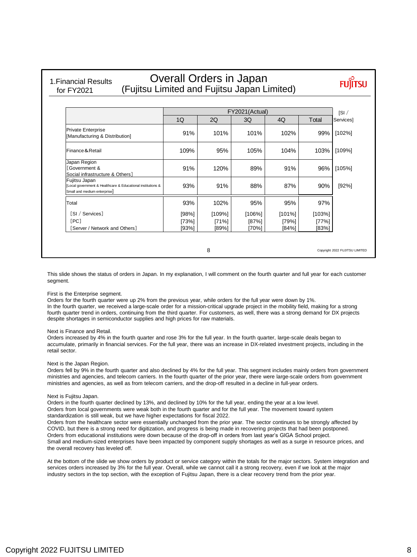### 1.Financial Results for FY2021

## Overall Orders in Japan (Fujitsu Limited and Fujitsu Japan Limited)

**FUJITSU** 

|                                                                                                             |       | FY2021(Actual) |        |        |        |           |  |  |
|-------------------------------------------------------------------------------------------------------------|-------|----------------|--------|--------|--------|-----------|--|--|
|                                                                                                             | 1Q    | 2Q             | 3Q     | 4Q     | Total  | Services] |  |  |
| <b>Private Enterprise</b><br>[Manufacturing & Distribution]                                                 | 91%   | 101%           | 101%   | 102%   | 99%    | [102%]    |  |  |
| Finance & Retail                                                                                            | 109%  | 95%            | 105%   | 104%   | 103%   | [109%]    |  |  |
| Japan Region<br><b>Government &amp;</b><br>Social infrastructure & Others]                                  | 91%   | 120%           | 89%    | 91%    | 96%    | [105%]    |  |  |
| Fujitsu Japan<br>[Local government & Healthcare & Educational institutions &<br>Small and medium enterprise | 93%   | 91%            | 88%    | 87%    | 90%    | [92%]     |  |  |
| Total                                                                                                       | 93%   | 102%           | 95%    | 95%    | 97%    |           |  |  |
| [SI / Services]                                                                                             | [98%] | [109%]         | [106%] | [101%] | [103%] |           |  |  |
| [PC]                                                                                                        | [73%] | [71%]          | [87%]  | [79%]  | [77%]  |           |  |  |
| [Server / Network and Others]                                                                               | [93%] | [89%]          | [70%]  | [84%]  | [83%]  |           |  |  |

8

Copyright 2022 FUJITSU LIMITED

This slide shows the status of orders in Japan. In my explanation, I will comment on the fourth quarter and full year for each customer segment.

#### First is the Enterprise segment.

Orders for the fourth quarter were up 2% from the previous year, while orders for the full year were down by 1%. In the fourth quarter, we received a large-scale order for a mission-critical upgrade project in the mobility field, making for a strong fourth quarter trend in orders, continuing from the third quarter. For customers, as well, there was a strong demand for DX projects despite shortages in semiconductor supplies and high prices for raw materials.

#### Next is Finance and Retail.

Orders increased by 4% in the fourth quarter and rose 3% for the full year. In the fourth quarter, large-scale deals began to accumulate, primarily in financial services. For the full year, there was an increase in DX-related investment projects, including in the retail sector.

#### Next is the Japan Region.

Orders fell by 9% in the fourth quarter and also declined by 4% for the full year. This segment includes mainly orders from government ministries and agencies, and telecom carriers. In the fourth quarter of the prior year, there were large-scale orders from government ministries and agencies, as well as from telecom carriers, and the drop-off resulted in a decline in full-year orders.

#### Next is Fujitsu Japan.

Orders in the fourth quarter declined by 13%, and declined by 10% for the full year, ending the year at a low level. Orders from local governments were weak both in the fourth quarter and for the full year. The movement toward system standardization is still weak, but we have higher expectations for fiscal 2022.

Orders from the healthcare sector were essentially unchanged from the prior year. The sector continues to be strongly affected by COVID, but there is a strong need for digitization, and progress is being made in recovering projects that had been postponed. Orders from educational institutions were down because of the drop-off in orders from last year's GIGA School project. Small and medium-sized enterprises have been impacted by component supply shortages as well as a surge in resource prices, and the overall recovery has leveled off.

At the bottom of the slide we show orders by product or service category within the totals for the major sectors. System integration and services orders increased by 3% for the full year. Overall, while we cannot call it a strong recovery, even if we look at the major industry sectors in the top section, with the exception of Fujitsu Japan, there is a clear recovery trend from the prior year.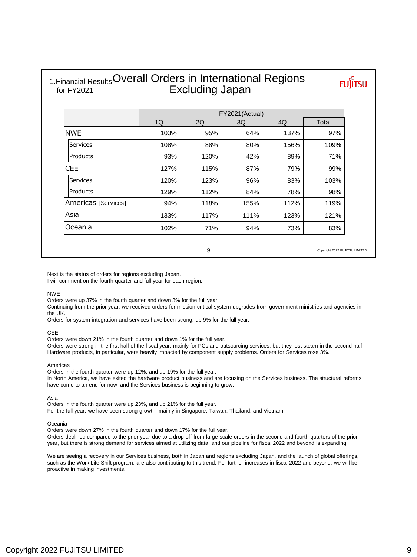### 1. Financial Results Overall Orders in International Regions Excluding Japan for FY2021

**FUJITSU** 

|                     | FY2021(Actual) |      |      |      |       |  |  |  |
|---------------------|----------------|------|------|------|-------|--|--|--|
|                     | 1Q             | 2Q   | 3Q   | 4Q   | Total |  |  |  |
| <b>INWE</b>         | 103%           | 95%  | 64%  | 137% | 97%   |  |  |  |
| <b>Services</b>     | 108%           | 88%  | 80%  | 156% | 109%  |  |  |  |
| Products            | 93%            | 120% | 42%  | 89%  | 71%   |  |  |  |
| <b>CEE</b>          | 127%           | 115% | 87%  | 79%  | 99%   |  |  |  |
| Services            | 120%           | 123% | 96%  | 83%  | 103%  |  |  |  |
| Products            | 129%           | 112% | 84%  | 78%  | 98%   |  |  |  |
| Americas [Services] | 94%            | 118% | 155% | 112% | 119%  |  |  |  |
| Asia                | 133%           | 117% | 111% | 123% | 121%  |  |  |  |
| Oceania             | 102%           | 71%  | 94%  | 73%  | 83%   |  |  |  |

9

Copyright 2022 FUJITSU LIMITED

Next is the status of orders for regions excluding Japan.

I will comment on the fourth quarter and full year for each region.

#### NWE

Orders were up 37% in the fourth quarter and down 3% for the full year.

Continuing from the prior year, we received orders for mission-critical system upgrades from government ministries and agencies in the UK.

Orders for system integration and services have been strong, up 9% for the full year.

### CEE

Orders were down 21% in the fourth quarter and down 1% for the full year.

Orders were strong in the first half of the fiscal year, mainly for PCs and outsourcing services, but they lost steam in the second half. Hardware products, in particular, were heavily impacted by component supply problems. Orders for Services rose 3%.

#### Americas

Orders in the fourth quarter were up 12%, and up 19% for the full year. In North America, we have exited the hardware product business and are focusing on the Services business. The structural reforms have come to an end for now, and the Services business is beginning to grow.

#### Asia

Orders in the fourth quarter were up 23%, and up 21% for the full year. For the full year, we have seen strong growth, mainly in Singapore, Taiwan, Thailand, and Vietnam.

#### Oceania

Orders were down 27% in the fourth quarter and down 17% for the full year. Orders declined compared to the prior year due to a drop-off from large-scale orders in the second and fourth quarters of the prior year, but there is strong demand for services aimed at utilizing data, and our pipeline for fiscal 2022 and beyond is expanding.

We are seeing a recovery in our Services business, both in Japan and regions excluding Japan, and the launch of global offerings, such as the Work Life Shift program, are also contributing to this trend. For further increases in fiscal 2022 and beyond, we will be proactive in making investments.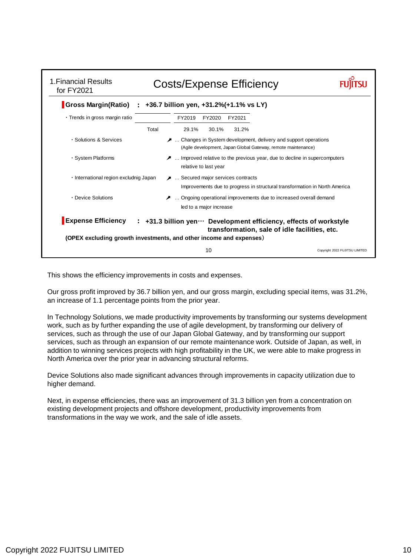| 1. Financial Results<br>for FY2021     | <b>Costs/Expense Efficiency</b>                                                                                                                                                             |                             |
|----------------------------------------|---------------------------------------------------------------------------------------------------------------------------------------------------------------------------------------------|-----------------------------|
|                                        | Gross Margin(Ratio) : +36.7 billion yen, +31.2%(+1.1% vs LY)                                                                                                                                |                             |
| · Trends in gross margin ratio         | FY2019<br>FY2020<br>FY2021                                                                                                                                                                  |                             |
|                                        | Total<br>29.1%<br>30.1%<br>31.2%                                                                                                                                                            |                             |
| · Solutions & Services                 | A  Changes in System development, delivery and support operations<br>(Agile development, Japan Global Gateway, remote maintenance)                                                          |                             |
| · System Platforms                     | A  Improved relative to the previous year, due to decline in supercomputers<br>relative to last year                                                                                        |                             |
| · International region excludnig Japan | ■  Secured major services contracts<br>Improvements due to progress in structural transformation in North America                                                                           |                             |
| • Device Solutions                     | Ongoing operational improvements due to increased overall demand<br>led to a major increase                                                                                                 |                             |
| <b>Expense Efficiency</b>              | : +31.3 billion yen ··· Development efficiency, effects of workstyle<br>transformation, sale of idle facilities, etc.<br>(OPEX excluding growth investments, and other income and expenses) |                             |
|                                        | 10                                                                                                                                                                                          | Copyright 2022 FUJITSU LIMI |

This shows the efficiency improvements in costs and expenses.

Our gross profit improved by 36.7 billion yen, and our gross margin, excluding special items, was 31.2%, an increase of 1.1 percentage points from the prior year.

In Technology Solutions, we made productivity improvements by transforming our systems development work, such as by further expanding the use of agile development, by transforming our delivery of services, such as through the use of our Japan Global Gateway, and by transforming our support services, such as through an expansion of our remote maintenance work. Outside of Japan, as well, in addition to winning services projects with high profitability in the UK, we were able to make progress in North America over the prior year in advancing structural reforms.

Device Solutions also made significant advances through improvements in capacity utilization due to higher demand.

Next, in expense efficiencies, there was an improvement of 31.3 billion yen from a concentration on existing development projects and offshore development, productivity improvements from transformations in the way we work, and the sale of idle assets.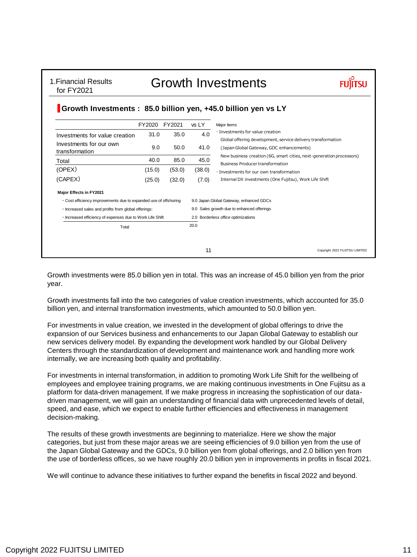## Growth Investments

### **Growth Investments : 85.0 billion yen, +45.0 billion yen vs LY**

|                                                                  | FY2020       | FY2021 | vs LY                                   | Major Items                                                                                                     |  |  |  |  |
|------------------------------------------------------------------|--------------|--------|-----------------------------------------|-----------------------------------------------------------------------------------------------------------------|--|--|--|--|
| Investments for value creation                                   | 35.0<br>31.0 |        | 4.0                                     | $\cdot$ Investments for value creation<br>Global offering development, service delivery transformation          |  |  |  |  |
| Investments for our own<br>transformation                        | 9.0          | 50.0   | 41.0                                    | (Japan Global Gateway, GDC enhancements)                                                                        |  |  |  |  |
| Total                                                            | 40.0         | 85.0   | 45.0                                    | New business creation (6G, smart cities, next-generation processors)<br><b>Business Producer transformation</b> |  |  |  |  |
| (OPEX)                                                           | (15.0)       | (53.0) | (38.0)                                  | · Investments for our own transformation                                                                        |  |  |  |  |
| (CAPEX)                                                          | (25.0)       | (32.0) | (7.0)                                   | Internal DX investments (One Fujitsu), Work Life Shift                                                          |  |  |  |  |
| <b>Major Effects in FY2021</b>                                   |              |        |                                         |                                                                                                                 |  |  |  |  |
| . Cost efficiency improvements due to expanded use of offshoring |              |        | 9.0 Japan Global Gateway, enhanced GDCs |                                                                                                                 |  |  |  |  |
| · Increased sales and profits from global offerings:             |              |        |                                         | 9.0 Sales growth due to enhanced offerings                                                                      |  |  |  |  |
| · Increased efficiency of expenses due to Work Life Shift        |              |        | 2.0 Borderless office optimizations     |                                                                                                                 |  |  |  |  |
| Total                                                            |              |        | 20.0                                    |                                                                                                                 |  |  |  |  |
|                                                                  |              |        | 11                                      | Copyright 2022 FUJITSU LIMITED                                                                                  |  |  |  |  |

Growth investments were 85.0 billion yen in total. This was an increase of 45.0 billion yen from the prior year.

Growth investments fall into the two categories of value creation investments, which accounted for 35.0 billion yen, and internal transformation investments, which amounted to 50.0 billion yen.

For investments in value creation, we invested in the development of global offerings to drive the expansion of our Services business and enhancements to our Japan Global Gateway to establish our new services delivery model. By expanding the development work handled by our Global Delivery Centers through the standardization of development and maintenance work and handling more work internally, we are increasing both quality and profitability.

For investments in internal transformation, in addition to promoting Work Life Shift for the wellbeing of employees and employee training programs, we are making continuous investments in One Fujitsu as a platform for data-driven management. If we make progress in increasing the sophistication of our datadriven management, we will gain an understanding of financial data with unprecedented levels of detail, speed, and ease, which we expect to enable further efficiencies and effectiveness in management decision-making.

The results of these growth investments are beginning to materialize. Here we show the major categories, but just from these major areas we are seeing efficiencies of 9.0 billion yen from the use of the Japan Global Gateway and the GDCs, 9.0 billion yen from global offerings, and 2.0 billion yen from the use of borderless offices, so we have roughly 20.0 billion yen in improvements in profits in fiscal 2021.

We will continue to advance these initiatives to further expand the benefits in fiscal 2022 and beyond.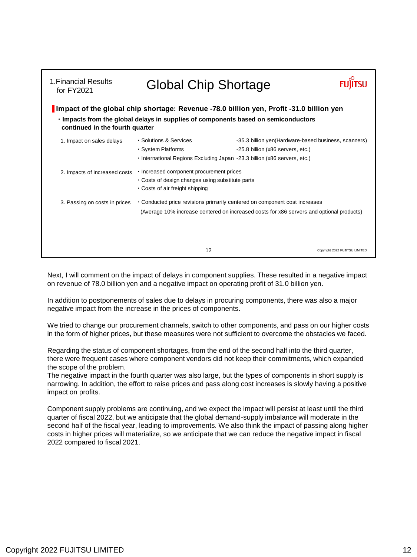| Impact of the global chip shortage: Revenue -78.0 billion yen, Profit -31.0 billion yen<br>. Impacts from the global delays in supplies of components based on semiconductors<br>continued in the fourth quarter |                                   |                                                                                                                                                                                                                                                                                                                                                                                    |  |  |  |  |  |  |  |  |
|------------------------------------------------------------------------------------------------------------------------------------------------------------------------------------------------------------------|-----------------------------------|------------------------------------------------------------------------------------------------------------------------------------------------------------------------------------------------------------------------------------------------------------------------------------------------------------------------------------------------------------------------------------|--|--|--|--|--|--|--|--|
| · Solutions & Services<br>· System Platforms                                                                                                                                                                     | -25.8 billion (x86 servers, etc.) | -35.3 billion yen(Hardware-based business, scanners)                                                                                                                                                                                                                                                                                                                               |  |  |  |  |  |  |  |  |
| 2. Impacts of increased costs<br>. Costs of air freight shipping                                                                                                                                                 |                                   |                                                                                                                                                                                                                                                                                                                                                                                    |  |  |  |  |  |  |  |  |
| 3. Passing on costs in prices                                                                                                                                                                                    |                                   |                                                                                                                                                                                                                                                                                                                                                                                    |  |  |  |  |  |  |  |  |
|                                                                                                                                                                                                                  |                                   | Copyright 2022 FUJITSU LIMITED                                                                                                                                                                                                                                                                                                                                                     |  |  |  |  |  |  |  |  |
|                                                                                                                                                                                                                  | 12                                | <b>Global Chip Shortage</b><br>· International Regions Excluding Japan -23.3 billion (x86 servers, etc.)<br>· Increased component procurement prices<br>. Costs of design changes using substitute parts<br>• Conducted price revisions primarily centered on component cost increases<br>(Average 10% increase centered on increased costs for x86 servers and optional products) |  |  |  |  |  |  |  |  |

Next, I will comment on the impact of delays in component supplies. These resulted in a negative impact on revenue of 78.0 billion yen and a negative impact on operating profit of 31.0 billion yen.

In addition to postponements of sales due to delays in procuring components, there was also a major negative impact from the increase in the prices of components.

We tried to change our procurement channels, switch to other components, and pass on our higher costs in the form of higher prices, but these measures were not sufficient to overcome the obstacles we faced.

Regarding the status of component shortages, from the end of the second half into the third quarter, there were frequent cases where component vendors did not keep their commitments, which expanded the scope of the problem.

The negative impact in the fourth quarter was also large, but the types of components in short supply is narrowing. In addition, the effort to raise prices and pass along cost increases is slowly having a positive impact on profits.

Component supply problems are continuing, and we expect the impact will persist at least until the third quarter of fiscal 2022, but we anticipate that the global demand-supply imbalance will moderate in the second half of the fiscal year, leading to improvements. We also think the impact of passing along higher costs in higher prices will materialize, so we anticipate that we can reduce the negative impact in fiscal 2022 compared to fiscal 2021.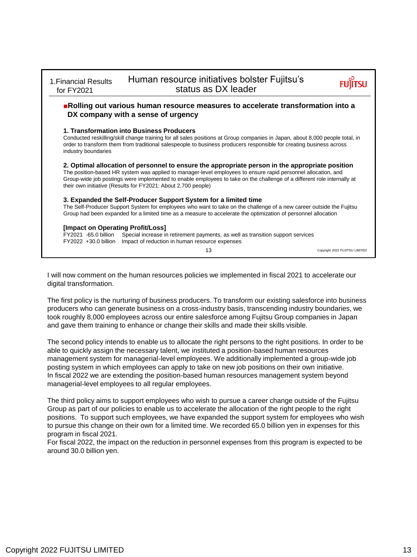| 1. Financial Results<br>for FY2021                                                | Human resource initiatives bolster Fujitsu's<br>status as DX leader                                                                                                                                                                                                                                                                                                                                          |                                |
|-----------------------------------------------------------------------------------|--------------------------------------------------------------------------------------------------------------------------------------------------------------------------------------------------------------------------------------------------------------------------------------------------------------------------------------------------------------------------------------------------------------|--------------------------------|
|                                                                                   | Rolling out various human resource measures to accelerate transformation into a<br>DX company with a sense of urgency                                                                                                                                                                                                                                                                                        |                                |
| industry boundaries                                                               | 1. Transformation into Business Producers<br>Conducted reskilling/skill change training for all sales positions at Group companies in Japan, about 8,000 people total, in<br>order to transform them from traditional salespeople to business producers responsible for creating business across                                                                                                             |                                |
|                                                                                   | 2. Optimal allocation of personnel to ensure the appropriate person in the appropriate position<br>The position-based HR system was applied to manager-level employees to ensure rapid personnel allocation, and<br>Group-wide job postings were implemented to enable employees to take on the challenge of a different role internally at<br>their own initiative (Results for FY2021: About 2,700 people) |                                |
|                                                                                   | 3. Expanded the Self-Producer Support System for a limited time<br>The Self-Producer Support System for employees who want to take on the challenge of a new career outside the Fujitsu<br>Group had been expanded for a limited time as a measure to accelerate the optimization of personnel allocation                                                                                                    |                                |
| [Impact on Operating Profit/Loss]<br>FY2021 -65.0 billion<br>FY2022 +30.0 billion | Special increase in retirement payments, as well as transition support services<br>Impact of reduction in human resource expenses                                                                                                                                                                                                                                                                            |                                |
|                                                                                   | 13                                                                                                                                                                                                                                                                                                                                                                                                           | Copyright 2022 FUJITSU LIMITED |

I will now comment on the human resources policies we implemented in fiscal 2021 to accelerate our digital transformation.

The first policy is the nurturing of business producers. To transform our existing salesforce into business producers who can generate business on a cross-industry basis, transcending industry boundaries, we took roughly 8,000 employees across our entire salesforce among Fujitsu Group companies in Japan and gave them training to enhance or change their skills and made their skills visible.

The second policy intends to enable us to allocate the right persons to the right positions. In order to be able to quickly assign the necessary talent, we instituted a position-based human resources management system for managerial-level employees. We additionally implemented a group-wide job posting system in which employees can apply to take on new job positions on their own initiative. In fiscal 2022 we are extending the position-based human resources management system beyond managerial-level employees to all regular employees.

The third policy aims to support employees who wish to pursue a career change outside of the Fujitsu Group as part of our policies to enable us to accelerate the allocation of the right people to the right positions. To support such employees, we have expanded the support system for employees who wish to pursue this change on their own for a limited time. We recorded 65.0 billion yen in expenses for this program in fiscal 2021.

For fiscal 2022, the impact on the reduction in personnel expenses from this program is expected to be around 30.0 billion yen.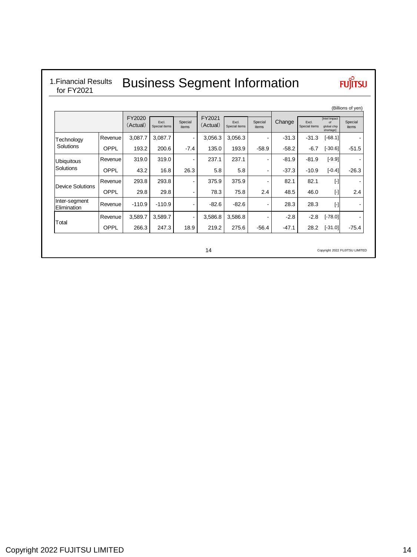## 1.Financial Results for FY2021

# Business Segment Information

# **FUJITSU**

|                              |             |                    |                        |                  |                    |                        |                  |         |                        |                                                     | (Billions of yen) |
|------------------------------|-------------|--------------------|------------------------|------------------|--------------------|------------------------|------------------|---------|------------------------|-----------------------------------------------------|-------------------|
|                              |             | FY2020<br>(Actual) | Excl.<br>Special items | Special<br>items | FY2021<br>(Actual) | Excl.<br>Special items | Special<br>items | Change  | Excl.<br>Special items | [Intel Impact<br>$\sim$<br>global chip<br>shortage] | Special<br>items  |
| Technology                   | Revenue     | 3.087.7            | 3,087.7                |                  | 3,056.3            | 3,056.3                |                  | $-31.3$ | $-31.3$                | $[-68.1]$                                           |                   |
| Solutions                    | <b>OPPL</b> | 193.2              | 200.6                  | $-7.4$           | 135.0              | 193.9                  | $-58.9$          | $-58.2$ | $-6.7$                 | $[-30.6]$                                           | $-51.5$           |
| <b>Ubiquitous</b>            | Revenue     | 319.0              | 319.0                  | -                | 237.1              | 237.1                  | ٠                | $-81.9$ | $-81.9$                | $[-9.9]$                                            |                   |
| Solutions                    | <b>OPPL</b> | 43.2               | 16.8                   | 26.3             | 5.8                | 5.8                    | ٠                | $-37.3$ | $-10.9$                | $[-0.4]$                                            | $-26.3$           |
| <b>Device Solutions</b>      | Revenue     | 293.8              | 293.8                  | -                | 375.9              | 375.9                  | ٠                | 82.1    | 82.1                   | $[\cdot]$                                           |                   |
|                              | <b>OPPL</b> | 29.8               | 29.8                   | -                | 78.3               | 75.8                   | 2.4              | 48.5    | 46.0                   | $[ - ]$                                             | 2.4               |
| Inter-segment<br>Elimination | Revenue     | $-110.9$           | $-110.9$               | -                | $-82.6$            | $-82.6$                | -                | 28.3    | 28.3                   | $[ - ]$                                             |                   |
| Total                        | Revenue     | 3,589.7            | 3,589.7                | ۰                | 3,586.8            | 3,586.8                | ٠                | $-2.8$  | $-2.8$                 | $[-78.0]$                                           |                   |
|                              | <b>OPPL</b> | 266.3              | 247.3                  | 18.9             | 219.2              | 275.6                  | $-56.4$          | $-47.1$ | 28.2                   | $[-31.0]$                                           | $-75.4$           |

Copyright 2022 FUJITSU LIMITED

14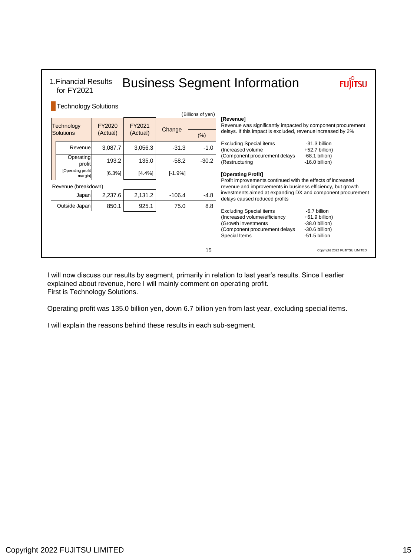| 1. Financial Results<br>for FY2021 |                    |                    |           | <b>Business Segment Information</b> |                                                                                                                                         |                                                                                           |
|------------------------------------|--------------------|--------------------|-----------|-------------------------------------|-----------------------------------------------------------------------------------------------------------------------------------------|-------------------------------------------------------------------------------------------|
| <b>Technology Solutions</b>        |                    |                    |           | (Billions of yen)                   |                                                                                                                                         |                                                                                           |
| <b>Technology</b><br>Solutions     | FY2020<br>(Actual) | FY2021<br>(Actual) | Change    |                                     | [Revenue]<br>Revenue was significantly impacted by component procurement<br>delays. If this impact is excluded, revenue increased by 2% |                                                                                           |
|                                    |                    |                    |           | (% )                                |                                                                                                                                         |                                                                                           |
| Revenue                            | 3,087.7            | 3,056.3            | $-31.3$   | $-1.0$                              | <b>Excluding Special items</b><br>(Increased volume)                                                                                    | $-31.3$ billion<br>+52.7 billion)                                                         |
| Operating<br>profit                | 193.2              | 135.0              | $-58.2$   | $-30.2$                             | (Component procurement delays<br>(Restructuring                                                                                         | $-68.1$ billion)<br>$-16.0$ billion)                                                      |
| [Operating profit<br>margin]       | [6.3%]             | [4.4%]             | $[-1.9%]$ |                                     | [Operating Profit]<br>Profit improvements continued with the effects of increased                                                       |                                                                                           |
| Revenue (breakdown)                |                    |                    |           |                                     | revenue and improvements in business efficiency, but growth                                                                             |                                                                                           |
| Japan                              | 2,237.6            | 2,131.2            | $-106.4$  | $-4.8$                              | investments aimed at expanding DX and component procurement<br>delays caused reduced profits                                            |                                                                                           |
| Outside Japan                      | 850.1              | 925.1              | 75.0      | 8.8                                 |                                                                                                                                         |                                                                                           |
|                                    |                    |                    |           |                                     | <b>Excluding Special items</b><br>(Increased volume/efficiency<br>(Growth investments<br>(Component procurement delays<br>Special Items | -6.7 billion<br>$+61.9$ billion)<br>$-38.0$ billion)<br>$-30.6$ billion)<br>-51.5 billion |
|                                    |                    |                    |           | 15                                  |                                                                                                                                         | Copyright 2022 FUJITSU LIMITED                                                            |

I will now discuss our results by segment, primarily in relation to last year's results. Since I earlier explained about revenue, here I will mainly comment on operating profit. First is Technology Solutions.

Operating profit was 135.0 billion yen, down 6.7 billion yen from last year, excluding special items.

I will explain the reasons behind these results in each sub-segment.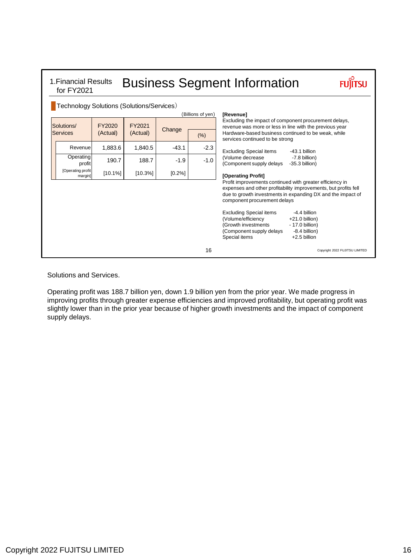| 1. Financial Results<br>for FY2021                                                  |         |         |                                                                                                                                                                         |                   | <b>Business Segment Information</b>                                                                                                                                                                                                              |
|-------------------------------------------------------------------------------------|---------|---------|-------------------------------------------------------------------------------------------------------------------------------------------------------------------------|-------------------|--------------------------------------------------------------------------------------------------------------------------------------------------------------------------------------------------------------------------------------------------|
| Technology Solutions (Solutions/Services)                                           |         |         |                                                                                                                                                                         | (Billions of yen) | [Revenue]                                                                                                                                                                                                                                        |
| FY2020<br>FY2021<br>Solutions/<br>Change<br><b>Services</b><br>(Actual)<br>(Actual) |         | (% )    | Excluding the impact of component procurement delays,<br>revenue was more or less in line with the previous year<br>Hardware-based business continued to be weak, while |                   |                                                                                                                                                                                                                                                  |
| Revenue                                                                             | 1,883.6 | 1.840.5 | $-43.1$                                                                                                                                                                 | $-2.3$            | services continued to be strong<br><b>Excluding Special items</b><br>$-43.1$ billion                                                                                                                                                             |
| Operating<br>profit                                                                 | 190.7   | 188.7   | $-1.9$                                                                                                                                                                  | $-1.0$            | (Volume decrease<br>-7.8 billion)<br>(Component supply delays<br>$-35.3$ billion)                                                                                                                                                                |
| [Operating profit]<br>margin]                                                       | [10.1%] | [10.3%] | [0.2%]                                                                                                                                                                  |                   | [Operating Profit]<br>Profit improvements continued with greater efficiency in<br>expenses and other profitability improvements, but profits fell<br>due to growth investments in expanding DX and the impact of<br>component procurement delays |
|                                                                                     |         |         |                                                                                                                                                                         |                   | <b>Excluding Special items</b><br>-4.4 billion<br>(Volume/efficiency<br>$+21.0$ billion)<br>(Growth investments<br>- 17.0 billion)<br>(Component supply delays<br>-8.4 billion)<br>Special items<br>$+2.5$ billion                               |
|                                                                                     |         |         |                                                                                                                                                                         | 16                | Copyright 2022 FUJITSU LIMITED                                                                                                                                                                                                                   |

### Solutions and Services.

Operating profit was 188.7 billion yen, down 1.9 billion yen from the prior year. We made progress in improving profits through greater expense efficiencies and improved profitability, but operating profit was slightly lower than in the prior year because of higher growth investments and the impact of component supply delays.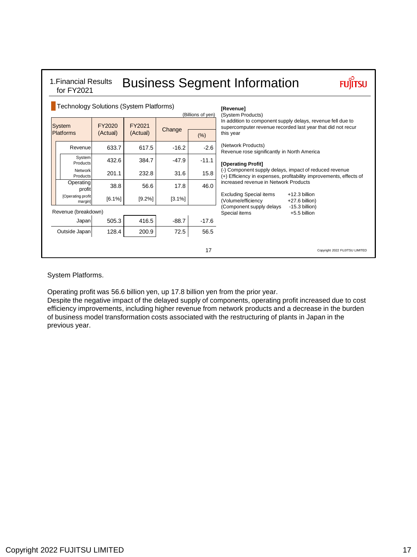| 1. Financial Results<br>for FY2021      |                    |                    |                                    | <b>Business Segment Information</b> |                                                                                                                                         |
|-----------------------------------------|--------------------|--------------------|------------------------------------|-------------------------------------|-----------------------------------------------------------------------------------------------------------------------------------------|
| Technology Solutions (System Platforms) |                    |                    |                                    | [Revenue]<br>(System Products)      |                                                                                                                                         |
| <b>System</b><br><b>Platforms</b>       | FY2020<br>(Actual) | FY2021<br>(Actual) | (Billions of yen)<br>Change<br>(%) |                                     | In addition to component supply delays, revenue fell due to<br>supercomputer revenue recorded last year that did not recur<br>this year |
| Revenue                                 | 633.7              | 617.5              | $-16.2$                            | $-2.6$                              | (Network Products)<br>Revenue rose significantly in North America                                                                       |
| System<br>Products                      | 432.6              | 384.7              | $-47.9$                            | $-11.1$                             | [Operating Profit]                                                                                                                      |
| Network<br>Products                     | 201.1              | 232.8              | 31.6                               | 15.8                                | (-) Component supply delays, impact of reduced revenue<br>(+) Efficiency in expenses, profitability improvements, effects of            |
| Operating<br>profit                     | 38.8               | 56.6               | 17.8                               | 46.0                                | increased revenue in Network Products                                                                                                   |
| [Operating profit<br>margin]            | [6.1%]             | [9.2%]             | [3.1%]                             |                                     | $+12.3$ billion<br><b>Excluding Special items</b><br>(Volume/efficiency<br>+27.6 billion)                                               |
| Revenue (breakdown)                     |                    |                    |                                    |                                     | (Component supply delays<br>$-15.3$ billion)<br>Special items<br>$+5.5$ billion                                                         |
| Japan                                   | 505.3              | 416.5              | $-88.7$                            | $-17.6$                             |                                                                                                                                         |
| Outside Japan                           | 128.4              | 200.9              | 72.5                               | 56.5                                |                                                                                                                                         |
|                                         |                    |                    |                                    | 17                                  | Copyright 2022 FUJITSU LIMITED                                                                                                          |

System Platforms.

Operating profit was 56.6 billion yen, up 17.8 billion yen from the prior year.

Despite the negative impact of the delayed supply of components, operating profit increased due to cost efficiency improvements, including higher revenue from network products and a decrease in the burden of business model transformation costs associated with the restructuring of plants in Japan in the previous year.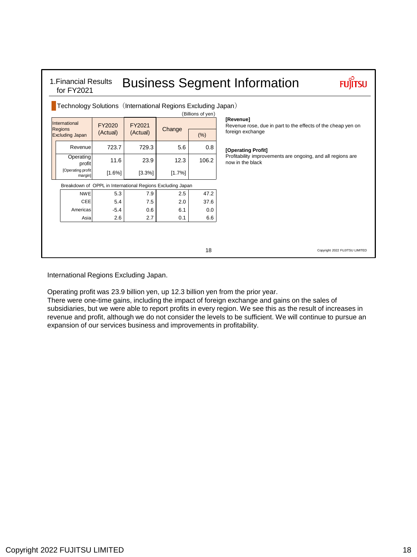| Technology Solutions (International Regions Excluding Japan) |           |                                                            |        | (Billions of yen) |                                                                                 |
|--------------------------------------------------------------|-----------|------------------------------------------------------------|--------|-------------------|---------------------------------------------------------------------------------|
| International                                                | FY2020    | FY2021                                                     |        |                   | [Revenue]<br>Revenue rose, due in part to the effects of the cheap yen on       |
| <b>Regions</b><br><b>Excluding Japan</b>                     | (Actual)  | (Actual)                                                   | Change | (% )              | foreign exchange                                                                |
| Revenue                                                      | 723.7     | 729.3                                                      | 5.6    | 0.8               | [Operating Profit]                                                              |
| Operating<br>profit                                          | 11.6      | 23.9                                                       | 12.3   | 106.2             | Profitability improvements are ongoing, and all regions are<br>now in the black |
| [Operating profit<br>margin]                                 | $[1.6\%]$ | [3.3%]                                                     | [1.7%] |                   |                                                                                 |
|                                                              |           | Breakdown of OPPL in International Regions Excluding Japan |        |                   |                                                                                 |
| <b>NWE</b>                                                   | 5.3       | 7.9                                                        | 2.5    | 47.2              |                                                                                 |
| CEE                                                          | 5.4       | 7.5                                                        | 2.0    | 37.6              |                                                                                 |
| Americas                                                     | $-5.4$    | 0.6                                                        | 6.1    | 0.0               |                                                                                 |
| Asia                                                         | 2.6       | 2.7                                                        | 0.1    | 6.6               |                                                                                 |
|                                                              |           |                                                            |        |                   |                                                                                 |
|                                                              |           |                                                            |        | 18                | Copyright 2022 FUJITSU LIMITED                                                  |

International Regions Excluding Japan.

Operating profit was 23.9 billion yen, up 12.3 billion yen from the prior year.

There were one-time gains, including the impact of foreign exchange and gains on the sales of subsidiaries, but we were able to report profits in every region. We see this as the result of increases in revenue and profit, although we do not consider the levels to be sufficient. We will continue to pursue an expansion of our services business and improvements in profitability.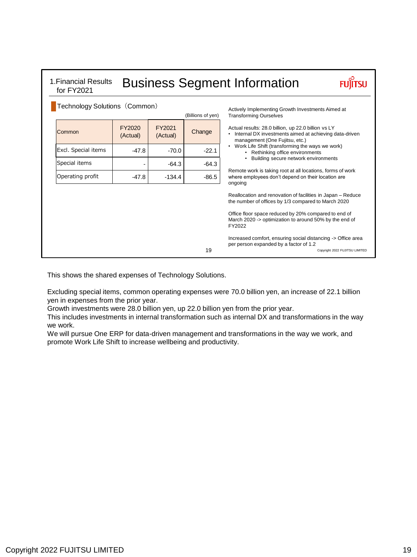| Technology Solutions (Common) |                    |                                      |                                                                                                                             | Actively Implementing Growth Investments Aimed at                                                                                                 |
|-------------------------------|--------------------|--------------------------------------|-----------------------------------------------------------------------------------------------------------------------------|---------------------------------------------------------------------------------------------------------------------------------------------------|
|                               |                    |                                      | (Billions of yen)                                                                                                           | <b>Transforming Ourselves</b>                                                                                                                     |
| Common                        | FY2020<br>(Actual) | FY2021<br>(Actual)                   | Change                                                                                                                      | Actual results: 28.0 billion, up 22.0 billion vs LY<br>• Internal DX investments aimed at achieving data-driven<br>management (One Fujitsu, etc.) |
| Excl. Special items           | $-47.8$            | $-70.0$                              | $-22.1$                                                                                                                     | • Work Life Shift (transforming the ways we work)<br>• Rethinking office environments                                                             |
| Special items                 |                    | Building secure network environments |                                                                                                                             |                                                                                                                                                   |
| Operating profit              | $-47.8$            | $-134.4$                             | Remote work is taking root at all locations, forms of work<br>where employees don't depend on their location are<br>ongoing |                                                                                                                                                   |
|                               |                    |                                      |                                                                                                                             | Reallocation and renovation of facilities in Japan - Reduce<br>the number of offices by 1/3 compared to March 2020                                |
|                               |                    |                                      |                                                                                                                             | Office floor space reduced by 20% compared to end of<br>March 2020 -> optimization to around 50% by the end of<br>FY2022                          |
|                               |                    |                                      | 19                                                                                                                          | Increased comfort, ensuring social distancing -> Office area<br>per person expanded by a factor of 1.2<br>Copyright 2022 FUJITSU LIMITED          |

This shows the shared expenses of Technology Solutions.

Excluding special items, common operating expenses were 70.0 billion yen, an increase of 22.1 billion yen in expenses from the prior year.

Growth investments were 28.0 billion yen, up 22.0 billion yen from the prior year.

This includes investments in internal transformation such as internal DX and transformations in the way we work.

We will pursue One ERP for data-driven management and transformations in the way we work, and promote Work Life Shift to increase wellbeing and productivity.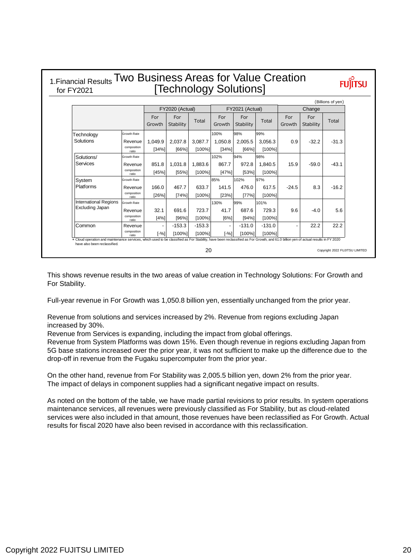|                       | [Technology Solutions]<br>for FY2021 |                  |                       |                    |                 |                    |                    |               |                  |                   |  |
|-----------------------|--------------------------------------|------------------|-----------------------|--------------------|-----------------|--------------------|--------------------|---------------|------------------|-------------------|--|
|                       |                                      |                  | FY2020 (Actual)       |                    |                 | FY2021 (Actual)    |                    |               | Change           | (Billions of yen) |  |
|                       |                                      | For<br>Growth    | For<br>Stability      | Total              | For<br>Growth   | For<br>Stability   | Total              | For<br>Growth | For<br>Stability | Total             |  |
| Technology            | Growth Rate                          |                  |                       |                    | 100%            | 98%                | 99%                |               |                  |                   |  |
| Solutions             | Revenue<br>composition<br>ratio      | 1.049.9<br>[34%] | 2.037.8<br>[66%]      | 3,087.7<br>[100%]  | 1.050.8<br>134% | 2.005.5<br>[66%]   | 3.056.3<br>[100%]  | 0.9           | $-32.2$          | $-31.3$           |  |
| Solutions/            | Growth Rate                          |                  |                       |                    | 102%            | 94%                | 98%                |               |                  |                   |  |
| Services              | Revenue<br>composition<br>ratio      | 851.8<br>[45%]   | 1.031.8<br>[55%]      | 1.883.6<br>[100%]  | 867.7<br>[47%]  | 972.8<br>[53%]     | 1.840.5<br>[100%]  | 15.9          | $-59.0$          | $-43.1$           |  |
| System                | Growth Rate                          |                  |                       |                    | 85%             | 102%               | 97%                |               |                  |                   |  |
| Platforms             | Revenue<br>composition<br>ratio      | 166.0<br>[26%]   | 467.7<br>[74%]        | 633.7<br>[100%]    | 141.5<br>[23%]  | 476.0<br>[77%]     | 617.5<br>$[100\%]$ | $-24.5$       | 8.3              | $-16.2$           |  |
| International Regions | Growth Rate                          |                  |                       |                    | 130%            | 99%                | 101%               |               |                  |                   |  |
| Excluding Japan       | Revenue                              | 32.1             | 691.6                 | 723.7              | 41.7            | 687.6              | 729.3              | 9.6           | $-4.0$           | 5.6               |  |
|                       | composition<br>ratio                 | [4%]             | [96%]                 | [100%]             | [6%]            | [94%]              | [100%]             |               |                  |                   |  |
| Common                | Revenue<br>composition               | $[-%]$           | $-153.3$<br>$[100\%]$ | $-153.3$<br>[100%] | $[-%]$          | $-131.0$<br>[100%] | $-131.0$<br>[100%] |               | 22.2             | 22.2              |  |

This shows revenue results in the two areas of value creation in Technology Solutions: For Growth and For Stability.

Full-year revenue in For Growth was 1,050.8 billion yen, essentially unchanged from the prior year.

Revenue from solutions and services increased by 2%. Revenue from regions excluding Japan increased by 30%.

Revenue from Services is expanding, including the impact from global offerings.

Revenue from System Platforms was down 15%. Even though revenue in regions excluding Japan from 5G base stations increased over the prior year, it was not sufficient to make up the difference due to the drop-off in revenue from the Fugaku supercomputer from the prior year.

On the other hand, revenue from For Stability was 2,005.5 billion yen, down 2% from the prior year. The impact of delays in component supplies had a significant negative impact on results.

As noted on the bottom of the table, we have made partial revisions to prior results. In system operations maintenance services, all revenues were previously classified as For Stability, but as cloud-related services were also included in that amount, those revenues have been reclassified as For Growth. Actual results for fiscal 2020 have also been revised in accordance with this reclassification.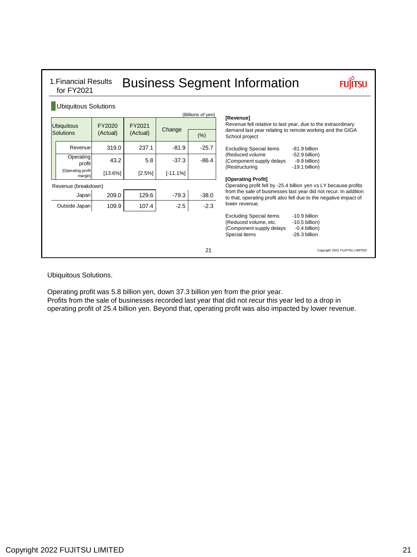| 1. Financial Results<br>for FY2021 |                    |                    |            |                   | <b>Business Segment Information</b>                                                                                                                                               |
|------------------------------------|--------------------|--------------------|------------|-------------------|-----------------------------------------------------------------------------------------------------------------------------------------------------------------------------------|
| <b>Ubiquitous Solutions</b>        |                    |                    |            | (Billions of yen) |                                                                                                                                                                                   |
| <b>Ubiquitous</b><br>Solutions     | FY2020<br>(Actual) | FY2021<br>(Actual) | Change     | (% )              | [Revenue]<br>Revenue fell relative to last year, due to the extraordinary<br>demand last year relating to remote working and the GIGA<br>School project                           |
| Revenue                            | 319.0              | 237.1              | $-81.9$    | $-25.7$           | <b>Excluding Special items</b><br>-81.9 billion                                                                                                                                   |
| Operating<br>profit                | 43.2               | 5.8                | $-37.3$    | $-86.4$           | (Reduced volume)<br>$-52.9$ billion)<br>(Component supply delays<br>-9.9 billion)<br>(Restructuring<br>$-19.1$ billion)                                                           |
| [Operating profit<br>margin]       | [13.6%]            | [2.5%]             | $[-11.1%]$ |                   |                                                                                                                                                                                   |
| Revenue (breakdown)                |                    |                    |            |                   | [Operating Profit]<br>Operating profit fell by -25.4 billion yen vs LY because profits                                                                                            |
| Japan                              | 209.0              | 129.6              | $-79.3$    | $-38.0$           | from the sale of businesses last year did not recur. In addition<br>to that, operating profit also fell due to the negative impact of                                             |
| Outside Japan                      | 109.9              | 107.4              | $-2.5$     | $-2.3$            | lower revenue.                                                                                                                                                                    |
|                                    |                    |                    |            |                   | <b>Excluding Special items</b><br>$-10.9$ billion<br>(Reduced volume, etc.<br>$-10.5$ billion)<br>(Component supply delays<br>$-0.4$ billion)<br>Special items<br>$-26.3$ billion |
|                                    |                    |                    |            | 21                | Copyright 2022 FUJITSU LIMITED                                                                                                                                                    |

### Ubiquitous Solutions.

Operating profit was 5.8 billion yen, down 37.3 billion yen from the prior year. Profits from the sale of businesses recorded last year that did not recur this year led to a drop in operating profit of 25.4 billion yen. Beyond that, operating profit was also impacted by lower revenue.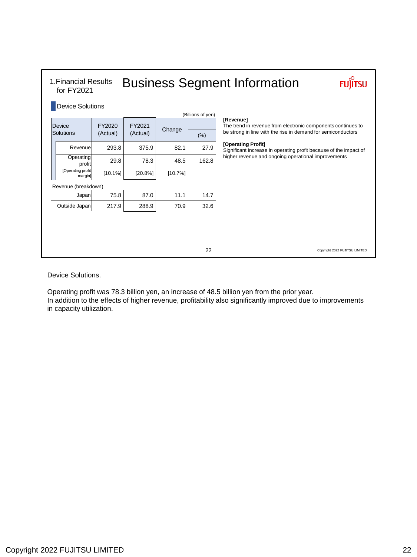| 1. Financial Results<br>for FY2021 |                    |                    |         |                   | <b>Business Segment Information</b>                                                                                                       |
|------------------------------------|--------------------|--------------------|---------|-------------------|-------------------------------------------------------------------------------------------------------------------------------------------|
| <b>Device Solutions</b>            |                    |                    |         | (Billions of yen) |                                                                                                                                           |
| Device<br>Solutions                | FY2020<br>(Actual) | FY2021<br>(Actual) | Change  | (% )              | [Revenue]<br>The trend in revenue from electronic components continues to<br>be strong in line with the rise in demand for semiconductors |
| Revenue                            | 293.8              | 375.9              | 82.1    | 27.9              | [Operating Profit]<br>Significant increase in operating profit because of the impact of                                                   |
| Operating<br>profit                | 29.8               | 78.3               | 48.5    | 162.8             | higher revenue and ongoing operational improvements                                                                                       |
| [Operating profit<br>margin]       | [10.1%]            | [20.8%]            | [10.7%] |                   |                                                                                                                                           |
| Revenue (breakdown)                |                    |                    |         |                   |                                                                                                                                           |
| Japan                              | 75.8               | 87.0               | 11.1    | 14.7              |                                                                                                                                           |
| Outside Japan                      | 217.9              | 288.9              | 70.9    | 32.6              |                                                                                                                                           |
|                                    |                    |                    |         |                   |                                                                                                                                           |
|                                    |                    |                    |         |                   |                                                                                                                                           |
|                                    |                    |                    |         | 22                | Copyright 2022 FUJITSU LIMITED                                                                                                            |

Device Solutions.

Operating profit was 78.3 billion yen, an increase of 48.5 billion yen from the prior year. In addition to the effects of higher revenue, profitability also significantly improved due to improvements in capacity utilization.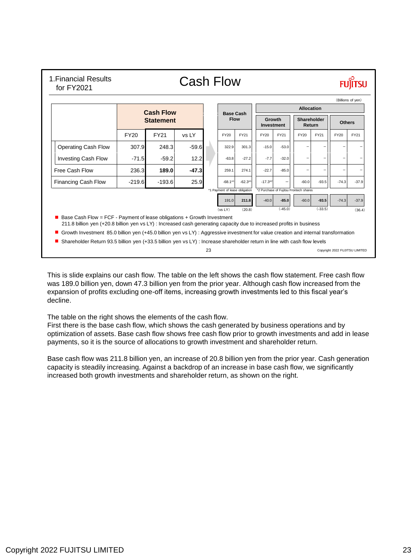|                            |          |                                      |         |                                 |            |                      |                                        | <b>Allocation</b>     |           |               | (Billions of yen) |
|----------------------------|----------|--------------------------------------|---------|---------------------------------|------------|----------------------|----------------------------------------|-----------------------|-----------|---------------|-------------------|
|                            |          | <b>Cash Flow</b><br><b>Statement</b> |         | <b>Base Cash</b><br><b>Flow</b> |            | Growth<br>Investment |                                        | Shareholder<br>Return |           | <b>Others</b> |                   |
|                            | FY20     | <b>FY21</b>                          | vs LY   | FY20                            | FY21       | FY20                 | FY21                                   | FY20                  | FY21      | FY20          | FY21              |
| <b>Operating Cash Flow</b> | 307.9    | 248.3                                | $-59.6$ | 322.9                           | 301.3      | $-15.0$              | $-53.0$                                |                       |           |               |                   |
| <b>Investing Cash Flow</b> | $-71.5$  | $-59.2$                              | 12.2    | $-63.8$                         | $-27.2$    | $-7.7$               | $-32.0$                                |                       |           |               |                   |
| Free Cash Flow             | 236.3    | 189.0                                | $-47.3$ | 259.1                           | 274.1      | $-22.7$              | $-85.0$                                |                       |           | -             |                   |
| <b>Financing Cash Flow</b> | $-219.6$ | $-193.6$                             | 25.9    | $-68.1*1$                       | $-62.3$ *1 | $-17.3*2$            |                                        | $-60.0$               | $-93.5$   | $-74.3$       | $-37.9$           |
|                            |          |                                      |         | *1 Payment of lease obligation  |            |                      | *2 Purchase of Fujitsu Frontech shares |                       |           |               |                   |
|                            |          |                                      |         | 191.0                           | 211.8      | $-40.0$              | $-85.0$                                | $-60.0$               | $-93.5$   | $-74.3$       | $-37.9$           |
|                            |          |                                      |         | (vsLY)                          | (20.8)     |                      | $(-45.0)$                              |                       | $(-33.5)$ |               | (36.4)            |

This is slide explains our cash flow. The table on the left shows the cash flow statement. Free cash flow was 189.0 billion yen, down 47.3 billion yen from the prior year. Although cash flow increased from the expansion of profits excluding one-off items, increasing growth investments led to this fiscal year's decline.

The table on the right shows the elements of the cash flow.

First there is the base cash flow, which shows the cash generated by business operations and by optimization of assets. Base cash flow shows free cash flow prior to growth investments and add in lease payments, so it is the source of allocations to growth investment and shareholder return.

Base cash flow was 211.8 billion yen, an increase of 20.8 billion yen from the prior year. Cash generation capacity is steadily increasing. Against a backdrop of an increase in base cash flow, we significantly increased both growth investments and shareholder return, as shown on the right.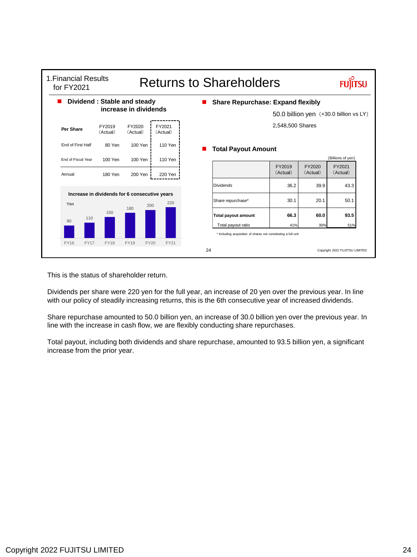| 1. Financial Results<br>for FY2021 |             |                                               |                       |      |                    |    | <b>Returns to Shareholders</b>                                                       |                    |                                        |                                |  |
|------------------------------------|-------------|-----------------------------------------------|-----------------------|------|--------------------|----|--------------------------------------------------------------------------------------|--------------------|----------------------------------------|--------------------------------|--|
|                                    |             | Dividend: Stable and steady                   | increase in dividends |      |                    |    | <b>Share Repurchase: Expand flexibly</b>                                             |                    | 50.0 billion yen (+30.0 billion vs LY) |                                |  |
| Per Share                          |             | FY2019<br>(Actual)                            | FY2020<br>(Actual)    |      | FY2021<br>(Actual) |    |                                                                                      | 2,548,500 Shares   |                                        |                                |  |
| End of First Half                  |             | 80 Yen                                        | 100 Yen               |      | 110 Yen            |    | <b>Total Payout Amount</b>                                                           |                    |                                        |                                |  |
| End of Fiscal Year                 |             | 100 Yen                                       | 100 Yen               |      | 110 Yen            |    |                                                                                      |                    |                                        | (Billions of yen)              |  |
| Annual                             |             | 180 Yen                                       | 200 Yen               |      | 220 Yen            |    |                                                                                      | FY2019<br>(Actual) | FY2020<br>(Actual)                     | FY2021<br>(Actual)             |  |
|                                    |             |                                               |                       |      |                    |    | Dividends                                                                            | 36.2               | 39.9                                   | 43.3                           |  |
| Yen                                |             | Increase in dividends for 6 consecutive years | 180                   | 200  | 220                |    | Share repurchase*                                                                    | 30.1               | 20.1                                   | 50.1                           |  |
| 90                                 | 110         | 150                                           |                       |      |                    |    | <b>Total payout amount</b>                                                           | 66.3               | 60.0                                   | 93.5                           |  |
|                                    |             |                                               |                       |      |                    |    | Total payout ratio<br>* Including acquisition of shares not constituting a full unit | 41%                | 30%                                    | 51%                            |  |
| <b>FY16</b>                        | <b>FY17</b> | <b>FY18</b>                                   | <b>FY19</b>           | FY20 | FY21               |    |                                                                                      |                    |                                        |                                |  |
|                                    |             |                                               |                       |      |                    | 24 |                                                                                      |                    |                                        | Copyright 2022 FUJITSU LIMITED |  |

This is the status of shareholder return.

Dividends per share were 220 yen for the full year, an increase of 20 yen over the previous year. In line with our policy of steadily increasing returns, this is the 6th consecutive year of increased dividends.

Share repurchase amounted to 50.0 billion yen, an increase of 30.0 billion yen over the previous year. In line with the increase in cash flow, we are flexibly conducting share repurchases.

Total payout, including both dividends and share repurchase, amounted to 93.5 billion yen, a significant increase from the prior year.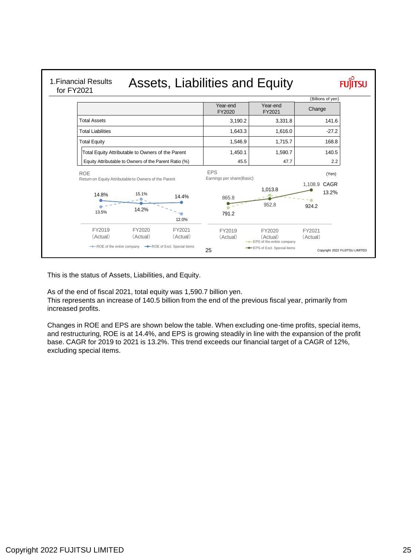

This is the status of Assets, Liabilities, and Equity.

As of the end of fiscal 2021, total equity was 1,590.7 billion yen.

This represents an increase of 140.5 billion from the end of the previous fiscal year, primarily from increased profits.

Changes in ROE and EPS are shown below the table. When excluding one-time profits, special items, and restructuring, ROE is at 14.4%, and EPS is growing steadily in line with the expansion of the profit base. CAGR for 2019 to 2021 is 13.2%. This trend exceeds our financial target of a CAGR of 12%, excluding special items.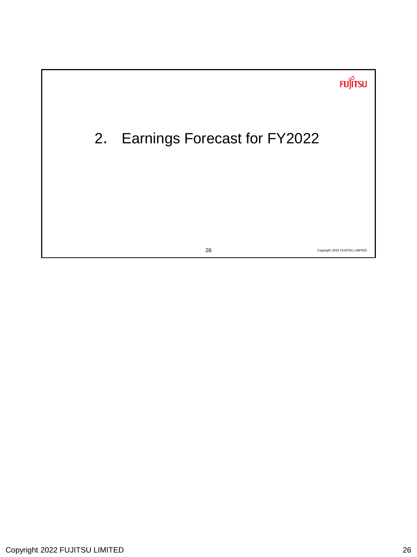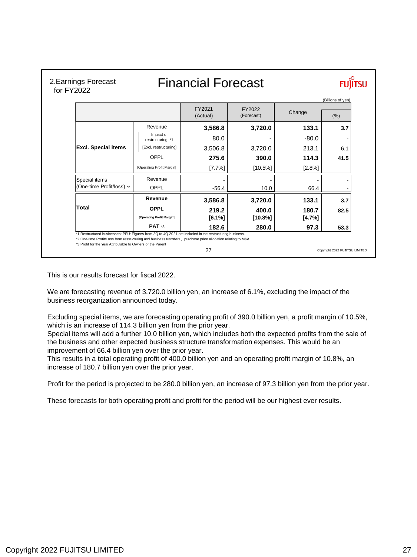| 2. Earnings Forecast<br>for FY2022                                                                                                                                                                                                                                                     |                               | <b>Financial Forecast</b> |                      |                   |                                |  |  |  |
|----------------------------------------------------------------------------------------------------------------------------------------------------------------------------------------------------------------------------------------------------------------------------------------|-------------------------------|---------------------------|----------------------|-------------------|--------------------------------|--|--|--|
|                                                                                                                                                                                                                                                                                        |                               |                           |                      | (Billions of yen) |                                |  |  |  |
|                                                                                                                                                                                                                                                                                        |                               | FY2021<br>(Actual)        | FY2022<br>(Forecast) | Change            | (%)                            |  |  |  |
|                                                                                                                                                                                                                                                                                        | Revenue                       | 3,586.8                   | 3,720.0              | 133.1             | 3.7                            |  |  |  |
|                                                                                                                                                                                                                                                                                        | Impact of<br>restructuring *1 | 80.0                      |                      | $-80.0$           |                                |  |  |  |
| <b>Excl. Special items</b>                                                                                                                                                                                                                                                             | [Excl. restructuring]         | 3,506.8                   | 3,720.0              | 213.1             | 6.1                            |  |  |  |
|                                                                                                                                                                                                                                                                                        | OPPL                          | 275.6                     | 390.0                | 114.3             | 41.5                           |  |  |  |
|                                                                                                                                                                                                                                                                                        | [Operating Profit Margin]     | [7.7%]                    | $[10.5\%]$           | [2.8%]            |                                |  |  |  |
| Special items                                                                                                                                                                                                                                                                          | Revenue                       |                           |                      |                   |                                |  |  |  |
| (One-time Profit/loss) *2                                                                                                                                                                                                                                                              | OPPL                          | $-56.4$                   | 10.0                 | 66.4              |                                |  |  |  |
|                                                                                                                                                                                                                                                                                        | Revenue                       | 3,586.8                   | 3,720.0              | 133.1             | 3.7                            |  |  |  |
| Total                                                                                                                                                                                                                                                                                  | OPPL                          | 219.2                     | 400.0                | 180.7             | 82.5                           |  |  |  |
|                                                                                                                                                                                                                                                                                        | [Operating Profit Margin]     | [6.1%]                    | $[10.8\%]$           | [4.7%]            |                                |  |  |  |
|                                                                                                                                                                                                                                                                                        | PAT *3                        | 182.6                     | 280.0                | 97.3              | 53.3                           |  |  |  |
| *1 Restructured businesses: PFU: Figures from 2Q to 4Q 2021 are included in the restructuring business.<br>*2 One-time Profit/Loss from restructuring and business transfers, purchase price allocation relating to M&A<br>*3 Profit for the Year Attributable to Owners of the Parent |                               | 27                        |                      |                   | Copyright 2022 FUJITSU LIMITED |  |  |  |

This is our results forecast for fiscal 2022.

We are forecasting revenue of 3,720.0 billion yen, an increase of 6.1%, excluding the impact of the business reorganization announced today.

Excluding special items, we are forecasting operating profit of 390.0 billion yen, a profit margin of 10.5%, which is an increase of 114.3 billion yen from the prior year.

Special items will add a further 10.0 billion yen, which includes both the expected profits from the sale of the business and other expected business structure transformation expenses. This would be an improvement of 66.4 billion yen over the prior year.

This results in a total operating profit of 400.0 billion yen and an operating profit margin of 10.8%, an increase of 180.7 billion yen over the prior year.

Profit for the period is projected to be 280.0 billion yen, an increase of 97.3 billion yen from the prior year.

These forecasts for both operating profit and profit for the period will be our highest ever results.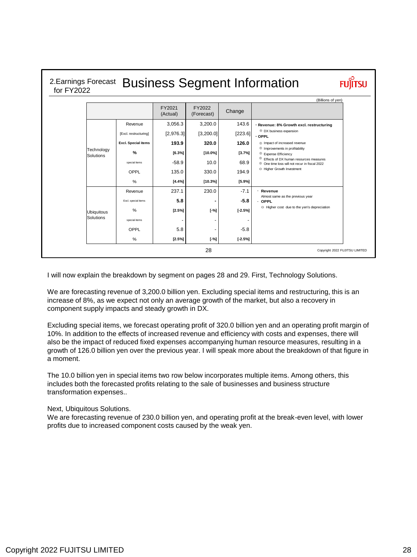| for FY2022 |                         |                            |                    |                      |           | 2. Earnings Forecast Business Segment Information                                                             |  |
|------------|-------------------------|----------------------------|--------------------|----------------------|-----------|---------------------------------------------------------------------------------------------------------------|--|
|            |                         |                            |                    |                      |           | (Billions of yen)                                                                                             |  |
|            |                         |                            | FY2021<br>(Actual) | FY2022<br>(Forecast) | Change    |                                                                                                               |  |
|            |                         | Revenue                    | 3,056.3            | 3,200.0              | 143.6     | · Revenue: 8% Growth excl. restructuring                                                                      |  |
|            |                         | [Excl. restructuring]      | [2,976.3]          | [3, 200.0]           | [223.6]   | $\oplus$ DX business expansion<br>$\cdot$ OPPL                                                                |  |
|            |                         | <b>Excl.</b> Special items | 193.9              | 320.0                | 126.0     | $\oplus$ Impact of increased revenue                                                                          |  |
|            | Technology<br>Solutions | %                          | [6.3%]             | $[10.0\%]$           | [3.7%]    | $\oplus$ Improvements in profitability<br>$\oplus$ Expense Efficiency                                         |  |
|            |                         | special items              | $-58.9$            | 10.0                 | 68.9      | $_{\oplus}$<br>Effects of DX human resources measures<br>$\oplus$ One time loss will not recur in fiscal 2022 |  |
|            |                         | OPPL                       | 135.0              | 330.0                | 194.9     | ⊖ Higher Growth Investment                                                                                    |  |
|            |                         | %                          | [4.4%]             | [10.3%]              | [5.9%]    |                                                                                                               |  |
|            |                         | Revenue                    | 237.1              | 230.0                | $-7.1$    | Revenue                                                                                                       |  |
|            |                         | Excl. special items        | 5.8                |                      | $-5.8$    | Almost same as the previous year<br>· OPPL                                                                    |  |
|            | <b>Ubiquitous</b>       | %                          | [2.5%]             | $[-%]$               | $[-2.5%]$ | $\ominus$ Higher cost due to the yen's depreciation                                                           |  |
|            | Solutions               | special items              |                    |                      |           |                                                                                                               |  |
|            |                         | OPPL                       | 5.8                |                      | $-5.8$    |                                                                                                               |  |
|            |                         | %                          | [2.5%]             | $[-%]$               | $[-2.5%]$ |                                                                                                               |  |
|            |                         |                            |                    | 28                   |           | Copyright 2022 FUJITSU LIMITED                                                                                |  |

I will now explain the breakdown by segment on pages 28 and 29. First, Technology Solutions.

We are forecasting revenue of 3,200.0 billion yen. Excluding special items and restructuring, this is an increase of 8%, as we expect not only an average growth of the market, but also a recovery in component supply impacts and steady growth in DX.

Excluding special items, we forecast operating profit of 320.0 billion yen and an operating profit margin of 10%. In addition to the effects of increased revenue and efficiency with costs and expenses, there will also be the impact of reduced fixed expenses accompanying human resource measures, resulting in a growth of 126.0 billion yen over the previous year. I will speak more about the breakdown of that figure in a moment.

The 10.0 billion yen in special items two row below incorporates multiple items. Among others, this includes both the forecasted profits relating to the sale of businesses and business structure transformation expenses..

### Next, Ubiquitous Solutions.

We are forecasting revenue of 230.0 billion yen, and operating profit at the break-even level, with lower profits due to increased component costs caused by the weak yen.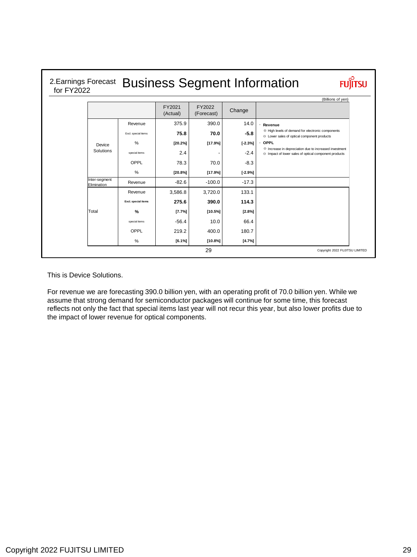## 2.Earnings Forecast Business Segment Information for FY2022

|                              |                     | FY2021<br>(Actual) | FY2022<br>(Forecast) | Change    |                                                                                                                                |
|------------------------------|---------------------|--------------------|----------------------|-----------|--------------------------------------------------------------------------------------------------------------------------------|
|                              | Revenue             | 375.9              | 390.0                | 14.0      | Revenue                                                                                                                        |
|                              | Excl. special items | 75.8               | 70.0                 | $-5.8$    | <b>E</b> High levels of demand for electronic components<br>$\ominus$ Lower sales of optical component products                |
| Device                       | %                   | [20.2%]            | [17.9%]              | $[-2.3%]$ | OPPL                                                                                                                           |
| Solutions                    | special items       | 2.4                |                      | $-2.4$    | $\Theta$ Increase in depreciation due to increased investment<br>$\ominus$ Impact of lower sales of optical component products |
|                              | OPPL                | 78.3               | 70.0                 | $-8.3$    |                                                                                                                                |
|                              | %                   | [20.8%]            | [17.9%]              | $[-2.9%]$ |                                                                                                                                |
| Inter-segment<br>Elimination | Revenue             | $-82.6$            | $-100.0$             | $-17.3$   |                                                                                                                                |
|                              | Revenue             | 3,586.8            | 3,720.0              | 133.1     |                                                                                                                                |
|                              | Excl. special items | 275.6              | 390.0                | 114.3     |                                                                                                                                |
| Total                        | $\frac{9}{6}$       | [7.7%]             | [10.5%]              | [2.8%]    |                                                                                                                                |
|                              | special items       | $-56.4$            | 10.0                 | 66.4      |                                                                                                                                |
|                              | OPPL                | 219.2              | 400.0                | 180.7     |                                                                                                                                |
|                              | %                   | [6.1%]             | $[10.8\%]$           | [4.7%]    |                                                                                                                                |
|                              |                     |                    | 29                   |           | Copyright 2022 FUJITSU LIMITED                                                                                                 |

This is Device Solutions.

For revenue we are forecasting 390.0 billion yen, with an operating profit of 70.0 billion yen. While we assume that strong demand for semiconductor packages will continue for some time, this forecast reflects not only the fact that special items last year will not recur this year, but also lower profits due to the impact of lower revenue for optical components.

**FUJITSU**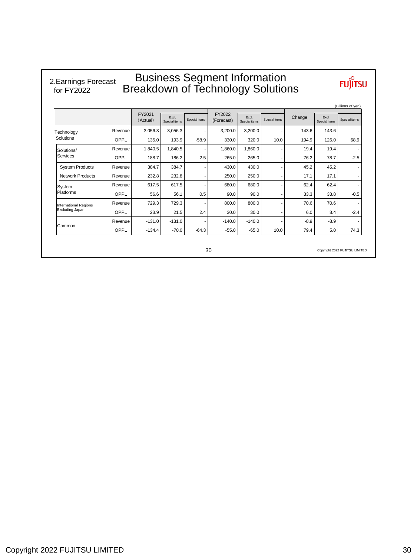#### Business Segment Information Breakdown of Technology Solutions 2.Earnings Forecast for FY2022

|                        |         |                    |                        |                |                      |                        |               |        |                        | (Billions of yen) |
|------------------------|---------|--------------------|------------------------|----------------|----------------------|------------------------|---------------|--------|------------------------|-------------------|
|                        |         | FY2021<br>(Actual) | Excl.<br>Special items | Special items  | FY2022<br>(Forecast) | Excl.<br>Special items | Special items | Change | Excl.<br>Special items | Special items     |
| Technology             | Revenue | 3,056.3            | 3,056.3                |                | 3,200.0              | 3,200.0                |               | 143.6  | 143.6                  |                   |
| Solutions              | OPPL    | 135.0              | 193.9                  | $-58.9$        | 330.0                | 320.0                  | 10.0          | 194.9  | 126.0                  | 68.9              |
| Solutions/             | Revenue | 1.840.5            | 1.840.5                |                | 1,860.0              | 1,860.0                |               | 19.4   | 19.4                   |                   |
| Services               | OPPL    | 188.7              | 186.2                  | 2.5            | 265.0                | 265.0                  |               | 76.2   | 78.7                   | $-2.5$            |
| <b>System Products</b> | Revenue | 384.7              | 384.7                  |                | 430.0                | 430.0                  |               | 45.2   | 45.2                   |                   |
| Network Products       | Revenue | 232.8              | 232.8                  | $\overline{a}$ | 250.0                | 250.0                  |               | 17.1   | 17.1                   |                   |
| System                 | Revenue | 617.5              | 617.5                  |                | 680.0                | 680.0                  |               | 62.4   | 62.4                   |                   |
| Platforms              | OPPL    | 56.6               | 56.1                   | 0.5            | 90.0                 | 90.0                   |               | 33.3   | 33.8                   | $-0.5$            |
| International Regions  | Revenue | 729.3              | 729.3                  |                | 800.0                | 800.0                  |               | 70.6   | 70.6                   |                   |
| Excluding Japan        | OPPL    | 23.9               | 21.5                   | 2.4            | 30.0                 | 30.0                   |               | 6.0    | 8.4                    | $-2.4$            |
|                        | Revenue | $-131.0$           | $-131.0$               |                | $-140.0$             | $-140.0$               |               | $-8.9$ | $-8.9$                 |                   |
| Common                 | OPPL    | $-134.4$           | $-70.0$                | $-64.3$        | $-55.0$              | $-65.0$                | 10.0          | 79.4   | 5.0                    | 74.3              |

Copyright 2022 FUJITSU LIMITED

30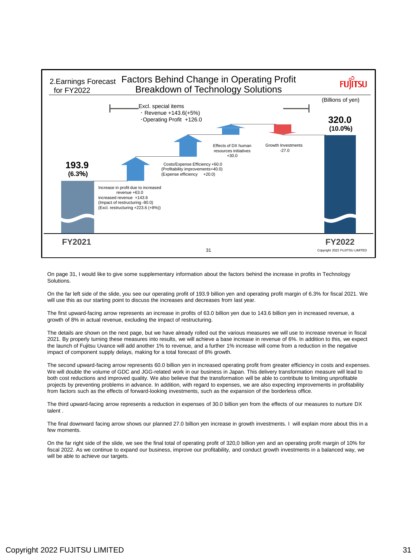

On page 31, I would like to give some supplementary information about the factors behind the increase in profits in Technology **Solutions** 

On the far left side of the slide, you see our operating profit of 193.9 billion yen and operating profit margin of 6.3% for fiscal 2021. We will use this as our starting point to discuss the increases and decreases from last year.

The first upward-facing arrow represents an increase in profits of 63.0 billion yen due to 143.6 billion yen in increased revenue, a growth of 8% in actual revenue, excluding the impact of restructuring.

The details are shown on the next page, but we have already rolled out the various measures we will use to increase revenue in fiscal 2021. By properly turning these measures into results, we will achieve a base increase in revenue of 6%. In addition to this, we expect the launch of Fujitsu Uvance will add another 1% to revenue, and a further 1% increase will come from a reduction in the negative impact of component supply delays, making for a total forecast of 8% growth.

The second upward-facing arrow represents 60.0 billion yen in increased operating profit from greater efficiency in costs and expenses. We will double the volume of GDC and JGG-related work in our business in Japan. This delivery transformation measure will lead to both cost reductions and improved quality. We also believe that the transformation will be able to contribute to limiting unprofitable projects by preventing problems in advance. In addition, with regard to expenses, we are also expecting improvements in profitability from factors such as the effects of forward-looking investments, such as the expansion of the borderless office.

The third upward-facing arrow represents a reduction in expenses of 30.0 billion yen from the effects of our measures to nurture DX talent .

The final downward facing arrow shows our planned 27.0 billion yen increase in growth investments. I will explain more about this in a few moments.

On the far right side of the slide, we see the final total of operating profit of 320,0 billion yen and an operating profit margin of 10% for fiscal 2022. As we continue to expand our business, improve our profitability, and conduct growth investments in a balanced way, we will be able to achieve our targets.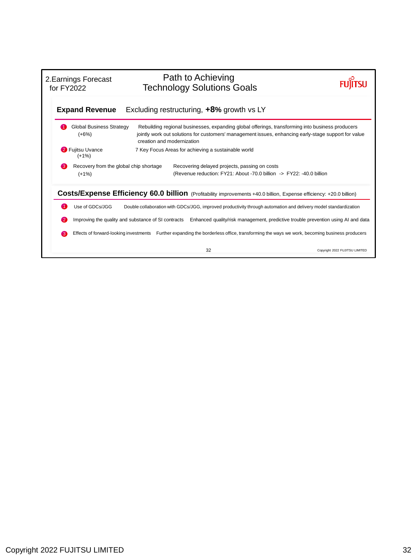| 2. Earnings Forecast<br>for FY2022 |                                                   |                            | Path to Achieving<br><b>Technology Solutions Goals</b> |                                                                                                                                                                                                          |
|------------------------------------|---------------------------------------------------|----------------------------|--------------------------------------------------------|----------------------------------------------------------------------------------------------------------------------------------------------------------------------------------------------------------|
|                                    | <b>Expand Revenue</b>                             |                            | Excluding restructuring, +8% growth vs LY              |                                                                                                                                                                                                          |
|                                    | <b>Global Business Strategy</b><br>$(+6%)$        | creation and modernization |                                                        | Rebuilding regional businesses, expanding global offerings, transforming into business producers<br>jointly work out solutions for customers' management issues, enhancing early-stage support for value |
|                                    | 2 Fujitsu Uvance<br>$(+1%)$                       |                            | 7 Key Focus Areas for achieving a sustainable world    |                                                                                                                                                                                                          |
| 63                                 | Recovery from the global chip shortage<br>$(+1%)$ |                            | Recovering delayed projects, passing on costs          | (Revenue reduction: FY21: About -70.0 billion -> FY22: -40.0 billion                                                                                                                                     |
|                                    |                                                   |                            |                                                        | <b>Costs/Expense Efficiency 60.0 billion</b> (Profitability improvements +40.0 billion, Expense efficiency: +20.0 billion)                                                                               |
|                                    | Use of GDCs/JGG                                   |                            |                                                        | Double collaboration with GDCs/JGG, improved productivity through automation and delivery model standardization                                                                                          |
| $\mathbf{2}$                       |                                                   |                            |                                                        | Improving the quality and substance of SI contracts Enhanced quality/risk management, predictive trouble prevention using AI and data                                                                    |
| 3                                  |                                                   |                            |                                                        | Effects of forward-looking investments Further expanding the borderless office, transforming the ways we work, becoming business producers                                                               |
|                                    |                                                   |                            | 32                                                     | Copyright 2022 FUJITSU LIMITED                                                                                                                                                                           |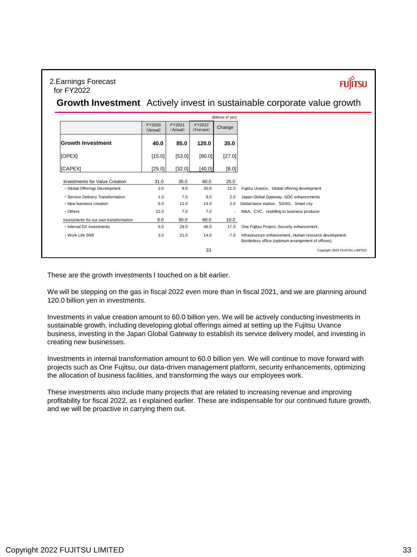### 2.Earnings Forecast for FY2022

**FUJITSU** 

## **Growth Investment** Actively invest in sustainable corporate value growth

| FY2021<br>FY2022<br>FY2020<br>Change<br>(Forcast)<br>(Actual)<br>(Actual)<br><b>Growth Investment</b><br>85.0<br>120.0<br>35.0<br>40.0<br>[OPEX]<br>[27.0]<br>[15.0]<br>[53.0]<br>[80.0]<br><b>[CAPEX]</b><br>[25.0]<br>[32.0]<br>[40.0]<br>[8.0]<br>Investments for Value Creation<br>35.0<br>25.0<br>31.0<br>60.0<br>· Global Offerings Development<br>2.0<br>9.0<br>30.0<br>21.0<br>7.0<br>· Service Delivery Transformation<br>1.0<br>9.0<br>2.0<br>12.0<br>. New business creation<br>6.0<br>14.0<br>2.0<br>7.0<br>• Others<br>22.0<br>7.0<br>ä,<br>50.0<br>60.0<br>10.0<br>9.0<br>Investments for our own transformation<br>· Internal DX investments<br>17.0<br>6.0<br>29.0<br>46.0<br>21.0<br>14.0<br>• Work Life Shift<br>3.0<br>$-7.0$ |                                |                                                                                                              | (Billions of yen) |  |  |
|--------------------------------------------------------------------------------------------------------------------------------------------------------------------------------------------------------------------------------------------------------------------------------------------------------------------------------------------------------------------------------------------------------------------------------------------------------------------------------------------------------------------------------------------------------------------------------------------------------------------------------------------------------------------------------------------------------------------------------------------------|--------------------------------|--------------------------------------------------------------------------------------------------------------|-------------------|--|--|
|                                                                                                                                                                                                                                                                                                                                                                                                                                                                                                                                                                                                                                                                                                                                                  |                                |                                                                                                              |                   |  |  |
|                                                                                                                                                                                                                                                                                                                                                                                                                                                                                                                                                                                                                                                                                                                                                  |                                |                                                                                                              |                   |  |  |
|                                                                                                                                                                                                                                                                                                                                                                                                                                                                                                                                                                                                                                                                                                                                                  |                                |                                                                                                              |                   |  |  |
|                                                                                                                                                                                                                                                                                                                                                                                                                                                                                                                                                                                                                                                                                                                                                  |                                |                                                                                                              |                   |  |  |
|                                                                                                                                                                                                                                                                                                                                                                                                                                                                                                                                                                                                                                                                                                                                                  |                                |                                                                                                              |                   |  |  |
|                                                                                                                                                                                                                                                                                                                                                                                                                                                                                                                                                                                                                                                                                                                                                  |                                | Fujitsu Uvance, Global offering development                                                                  |                   |  |  |
|                                                                                                                                                                                                                                                                                                                                                                                                                                                                                                                                                                                                                                                                                                                                                  |                                | Japan Global Gateway, GDC enhancements                                                                       |                   |  |  |
|                                                                                                                                                                                                                                                                                                                                                                                                                                                                                                                                                                                                                                                                                                                                                  |                                | Global base station, 5G/6G, Smart city                                                                       |                   |  |  |
|                                                                                                                                                                                                                                                                                                                                                                                                                                                                                                                                                                                                                                                                                                                                                  |                                | M&A, CVC, reskilling to business producer                                                                    |                   |  |  |
|                                                                                                                                                                                                                                                                                                                                                                                                                                                                                                                                                                                                                                                                                                                                                  |                                |                                                                                                              |                   |  |  |
|                                                                                                                                                                                                                                                                                                                                                                                                                                                                                                                                                                                                                                                                                                                                                  |                                | One Fujitsu Project, Security enhancement,                                                                   |                   |  |  |
|                                                                                                                                                                                                                                                                                                                                                                                                                                                                                                                                                                                                                                                                                                                                                  |                                | Infrastructure enhancement, Human resource development<br>Borderless office (optimum arrangement of offices) |                   |  |  |
| 33                                                                                                                                                                                                                                                                                                                                                                                                                                                                                                                                                                                                                                                                                                                                               | Copyright 2022 FUJITSU LIMITED |                                                                                                              |                   |  |  |

These are the growth investments I touched on a bit earlier.

We will be stepping on the gas in fiscal 2022 even more than in fiscal 2021, and we are planning around 120.0 billion yen in investments.

Investments in value creation amount to 60.0 billion yen. We will be actively conducting investments in sustainable growth, including developing global offerings aimed at setting up the Fujitsu Uvance business, investing in the Japan Global Gateway to establish its service delivery model, and investing in creating new businesses.

Investments in internal transformation amount to 60.0 billion yen. We will continue to move forward with projects such as One Fujitsu, our data-driven management platform, security enhancements, optimizing the allocation of business facilities, and transforming the ways our employees work.

These investments also include many projects that are related to increasing revenue and improving profitability for fiscal 2022, as I explained earlier. These are indispensable for our continued future growth, and we will be proactive in carrying them out.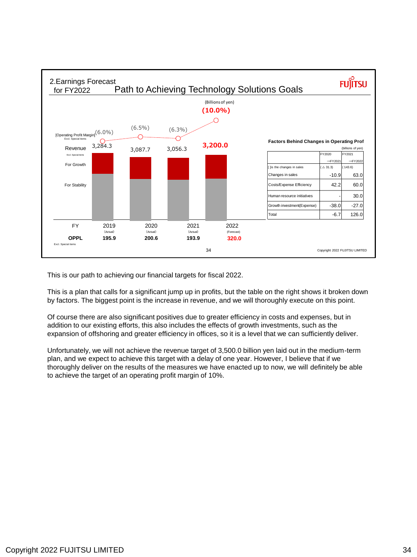

This is our path to achieving our financial targets for fiscal 2022.

This is a plan that calls for a significant jump up in profits, but the table on the right shows it broken down by factors. The biggest point is the increase in revenue, and we will thoroughly execute on this point.

Of course there are also significant positives due to greater efficiency in costs and expenses, but in addition to our existing efforts, this also includes the effects of growth investments, such as the expansion of offshoring and greater efficiency in offices, so it is a level that we can sufficiently deliver.

Unfortunately, we will not achieve the revenue target of 3,500.0 billion yen laid out in the medium-term plan, and we expect to achieve this target with a delay of one year. However, I believe that if we thoroughly deliver on the results of the measures we have enacted up to now, we will definitely be able to achieve the target of an operating profit margin of 10%.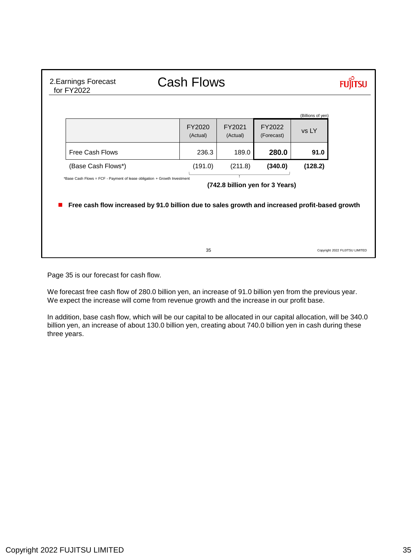| 2. Earnings Forecast<br>for FY2022                                                                          | <b>Cash Flows</b>  |                    |                      |                   |                                |  |  |  |  |
|-------------------------------------------------------------------------------------------------------------|--------------------|--------------------|----------------------|-------------------|--------------------------------|--|--|--|--|
|                                                                                                             |                    |                    |                      | (Billions of yen) |                                |  |  |  |  |
|                                                                                                             | FY2020<br>(Actual) | FY2021<br>(Actual) | FY2022<br>(Forecast) | vs LY             |                                |  |  |  |  |
| Free Cash Flows                                                                                             | 236.3              | 189.0              | 280.0                | 91.0              |                                |  |  |  |  |
| (Base Cash Flows*)                                                                                          | (191.0)            | (211.8)            | (340.0)              | (128.2)           |                                |  |  |  |  |
| *Base Cash Flows = FCF - Payment of lease obligation + Growth Investment<br>(742.8 billion yen for 3 Years) |                    |                    |                      |                   |                                |  |  |  |  |
| Free cash flow increased by 91.0 billion due to sales growth and increased profit-based growth              |                    |                    |                      |                   |                                |  |  |  |  |
|                                                                                                             |                    |                    |                      |                   |                                |  |  |  |  |
|                                                                                                             | 35                 |                    |                      |                   | Copyright 2022 FUJITSU LIMITED |  |  |  |  |

Page 35 is our forecast for cash flow.

We forecast free cash flow of 280.0 billion yen, an increase of 91.0 billion yen from the previous year. We expect the increase will come from revenue growth and the increase in our profit base.

In addition, base cash flow, which will be our capital to be allocated in our capital allocation, will be 340.0 billion yen, an increase of about 130.0 billion yen, creating about 740.0 billion yen in cash during these three years.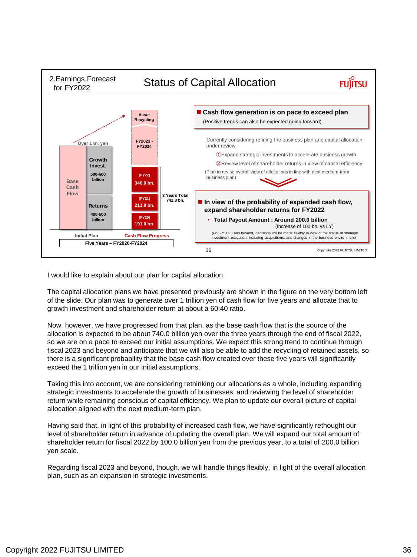

I would like to explain about our plan for capital allocation.

The capital allocation plans we have presented previously are shown in the figure on the very bottom left of the slide. Our plan was to generate over 1 trillion yen of cash flow for five years and allocate that to growth investment and shareholder return at about a 60:40 ratio.

Now, however, we have progressed from that plan, as the base cash flow that is the source of the allocation is expected to be about 740.0 billion yen over the three years through the end of fiscal 2022, so we are on a pace to exceed our initial assumptions. We expect this strong trend to continue through fiscal 2023 and beyond and anticipate that we will also be able to add the recycling of retained assets, so there is a significant probability that the base cash flow created over these five years will significantly exceed the 1 trillion yen in our initial assumptions.

Taking this into account, we are considering rethinking our allocations as a whole, including expanding strategic investments to accelerate the growth of businesses, and reviewing the level of shareholder return while remaining conscious of capital efficiency. We plan to update our overall picture of capital allocation aligned with the next medium-term plan.

Having said that, in light of this probability of increased cash flow, we have significantly rethought our level of shareholder return in advance of updating the overall plan. We will expand our total amount of shareholder return for fiscal 2022 by 100.0 billion yen from the previous year, to a total of 200.0 billion yen scale.

Regarding fiscal 2023 and beyond, though, we will handle things flexibly, in light of the overall allocation plan, such as an expansion in strategic investments.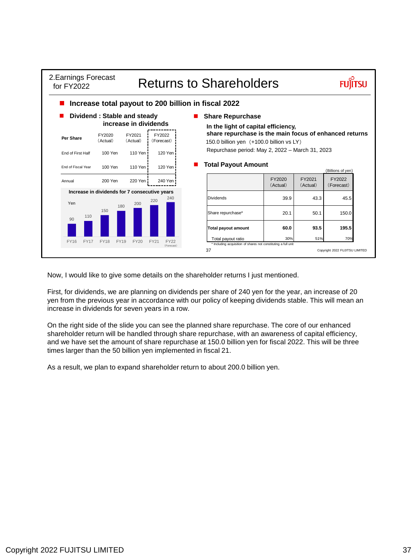

Now, I would like to give some details on the shareholder returns I just mentioned.

First, for dividends, we are planning on dividends per share of 240 yen for the year, an increase of 20 yen from the previous year in accordance with our policy of keeping dividends stable. This will mean an increase in dividends for seven years in a row.

On the right side of the slide you can see the planned share repurchase. The core of our enhanced shareholder return will be handled through share repurchase, with an awareness of capital efficiency, and we have set the amount of share repurchase at 150.0 billion yen for fiscal 2022. This will be three times larger than the 50 billion yen implemented in fiscal 21.

As a result, we plan to expand shareholder return to about 200.0 billion yen.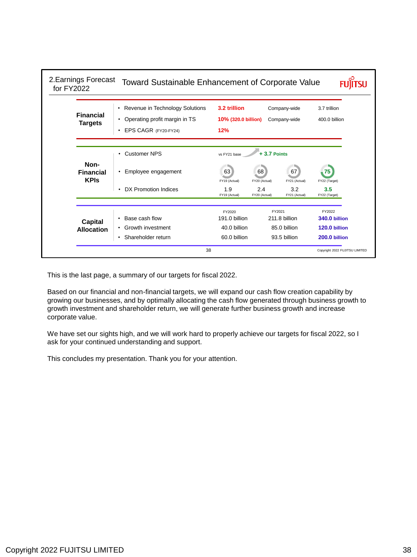| 2. Earnings Forecast<br>for FY2022      | Toward Sustainable Enhancement of Corporate Value                                                       |                                            |                      |                              |                                |
|-----------------------------------------|---------------------------------------------------------------------------------------------------------|--------------------------------------------|----------------------|------------------------------|--------------------------------|
| <b>Financial</b><br><b>Targets</b>      | Revenue in Technology Solutions<br>٠<br>Operating profit margin in TS<br>٠<br>EPS CAGR (FY20-FY24)<br>٠ | 3.2 trillion<br>10% (320.0 billion)<br>12% |                      | Company-wide<br>Company-wide | 3.7 trillion<br>400.0 billion  |
|                                         | <b>Customer NPS</b>                                                                                     | vs FY21 base                               | $+3.7$ Points        |                              |                                |
| Non-<br><b>Financial</b><br><b>KPIs</b> | Employee engagement<br>$\bullet$                                                                        | 63<br>FY19 (Actual)                        | 68<br>FY20 (Actual)  | 67<br>FY21 (Actual)          | 75<br>FY22 (Target)            |
|                                         | DX Promotion Indices<br>$\bullet$                                                                       | 1.9<br>FY19 (Actual)                       | 2.4<br>FY20 (Actual) | 3.2<br>FY21 (Actual)         | 3.5<br>FY22 (Target)           |
|                                         | Base cash flow<br>٠                                                                                     | FY2020<br>191.0 billion                    | FY2021               | 211.8 billion                | FY2022<br>340.0 billion        |
| Capital<br><b>Allocation</b>            | Growth investment<br>٠<br>Shareholder return<br>٠                                                       | 40.0 billion<br>60.0 billion               |                      | 85.0 billion<br>93.5 billion | 120.0 billion<br>200.0 billion |
|                                         | 38                                                                                                      |                                            |                      |                              | Copyright 2022 FUJITSU LIMITED |

This is the last page, a summary of our targets for fiscal 2022.

Based on our financial and non-financial targets, we will expand our cash flow creation capability by growing our businesses, and by optimally allocating the cash flow generated through business growth to growth investment and shareholder return, we will generate further business growth and increase corporate value.

We have set our sights high, and we will work hard to properly achieve our targets for fiscal 2022, so I ask for your continued understanding and support.

This concludes my presentation. Thank you for your attention.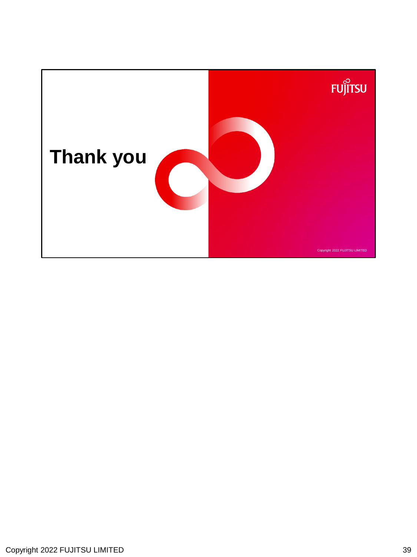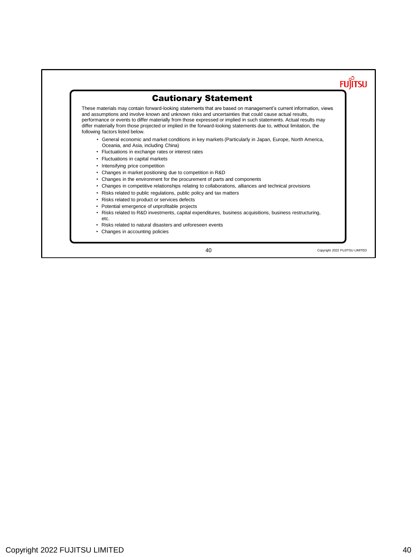### **FUJITSU** Cautionary Statement These materials may contain forward-looking statements that are based on management's current information, views and assumptions and involve known and unknown risks and uncertainties that could cause actual results, performance or events to differ materially from those expressed or implied in such statements. Actual results may differ materially from those projected or implied in the forward-looking statements due to, without limitation, the following factors listed below. • General economic and market conditions in key markets (Particularly in Japan, Europe, North America, Oceania, and Asia, including China) • Fluctuations in exchange rates or interest rates • Fluctuations in capital markets • Intensifying price competition • Changes in market positioning due to competition in R&D • Changes in the environment for the procurement of parts and components • Changes in competitive relationships relating to collaborations, alliances and technical provisions • Risks related to public regulations, public policy and tax matters • Risks related to product or services defects • Potential emergence of unprofitable projects • Risks related to R&D investments, capital expenditures, business acquisitions, business restructuring, etc. • Risks related to natural disasters and unforeseen events • Changes in accounting policies 40 Copyright 2022 FUJITSU LIMITED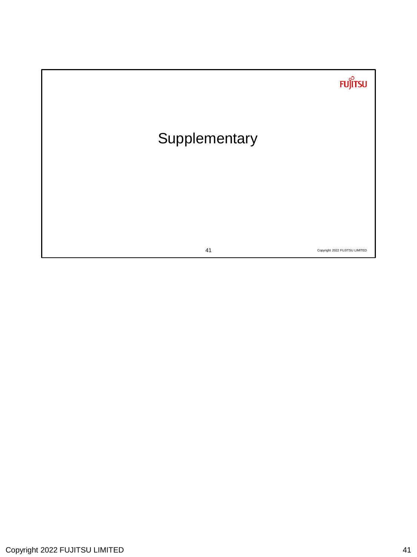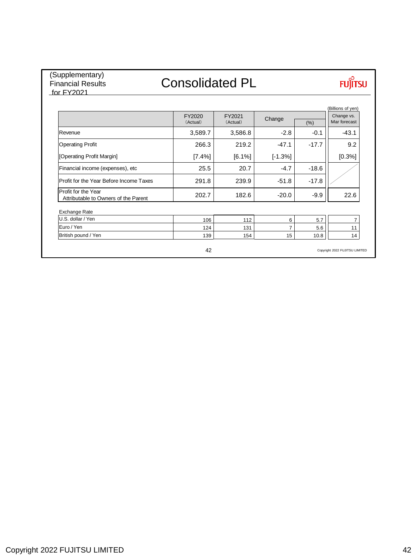### (Supplementary) Financial Results for FY2021

## Consolidated PL

# **FUJITSU**

|                                                             | FY2020<br>(Actual) | FY2021<br>(Actual) | Change    | (% )    | Change vs.<br>Mar forecast |
|-------------------------------------------------------------|--------------------|--------------------|-----------|---------|----------------------------|
| Revenue                                                     | 3,589.7            | 3,586.8            | $-2.8$    | $-0.1$  | $-43.1$                    |
| <b>Operating Profit</b>                                     | 266.3              | 219.2              | $-47.1$   | $-17.7$ | 9.2                        |
| [Operating Profit Margin]                                   | [7.4%]             | [6.1%]             | $[-1.3%]$ |         | [0.3%]                     |
| Financial income (expenses), etc                            | 25.5               | 20.7               | $-4.7$    | $-18.6$ |                            |
| Profit for the Year Before Income Taxes                     | 291.8              | 239.9              | $-51.8$   | $-17.8$ |                            |
| Profit for the Year<br>Attributable to Owners of the Parent | 202.7              | 182.6              | $-20.0$   | $-9.9$  | 22.6                       |
| Exchange Rate                                               |                    |                    |           |         |                            |
| U.S. dollar / Yen                                           | 106                | 112                | 6         | 5.7     | $\overline{7}$             |
| Euro / Yen                                                  | 124                | 131                | 7         | 5.6     | 11                         |
|                                                             | 139                | 154                | 15        | 10.8    | 14                         |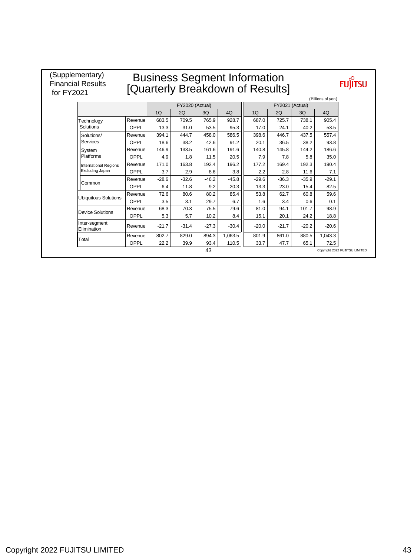### (Supplementary) Financial Results<br>for FY2021 EV2021

## Business Segment Information [Quarterly Breakdown of Results]

**FUJITSU** 

|                              |         |         |                 |         |         |                 |         |         | (Billions of yen) |
|------------------------------|---------|---------|-----------------|---------|---------|-----------------|---------|---------|-------------------|
|                              |         |         | FY2020 (Actual) |         |         | FY2021 (Actual) |         |         |                   |
|                              |         | 1Q      | 2Q              | 3Q      | 4Q      | 1Q              | 2Q      | 3Q      | 4Q                |
| Technology                   | Revenue | 683.5   | 709.5           | 765.9   | 928.7   | 687.0           | 725.7   | 738.1   | 905.4             |
| Solutions                    | OPPL    | 13.3    | 31.0            | 53.5    | 95.3    | 17.0            | 24.1    | 40.2    | 53.5              |
| Solutions/                   | Revenue | 394.1   | 444.7           | 458.0   | 586.5   | 398.6           | 446.7   | 437.5   | 557.4             |
| <b>Services</b>              | OPPL    | 18.6    | 38.2            | 42.6    | 91.2    | 20.1            | 36.5    | 38.2    | 93.8              |
| System                       | Revenue | 146.9   | 133.5           | 161.6   | 191.6   | 140.8           | 145.8   | 144.2   | 186.6             |
| Platforms                    | OPPL    | 4.9     | 1.8             | 11.5    | 20.5    | 7.9             | 7.8     | 5.8     | 35.0              |
| <b>International Regions</b> | Revenue | 171.0   | 163.8           | 192.4   | 196.2   | 177.2           | 169.4   | 192.3   | 190.4             |
| Excluding Japan              | OPPL    | $-3.7$  | 2.9             | 8.6     | 3.8     | 2.2             | 2.8     | 11.6    | 7.1               |
|                              | Revenue | $-28.6$ | $-32.6$         | $-46.2$ | $-45.8$ | $-29.6$         | $-36.3$ | $-35.9$ | $-29.1$           |
| Common                       | OPPL    | $-6.4$  | $-11.8$         | $-9.2$  | $-20.3$ | $-13.3$         | $-23.0$ | $-15.4$ | $-82.5$           |
|                              | Revenue | 72.6    | 80.6            | 80.2    | 85.4    | 53.8            | 62.7    | 60.8    | 59.6              |
| <b>Ubiquitous Solutions</b>  | OPPL    | 3.5     | 3.1             | 29.7    | 6.7     | 1.6             | 3.4     | 0.6     | 0.1               |
| <b>Device Solutions</b>      | Revenue | 68.3    | 70.3            | 75.5    | 79.6    | 81.0            | 94.1    | 101.7   | 98.9              |
|                              | OPPL    | 5.3     | 5.7             | 10.2    | 8.4     | 15.1            | 20.1    | 24.2    | 18.8              |
| Inter-segment<br>Elimination | Revenue | $-21.7$ | $-31.4$         | $-27.3$ | $-30.4$ | $-20.0$         | $-21.7$ | $-20.2$ | $-20.6$           |
|                              | Revenue | 802.7   | 829.0           | 894.3   | 1,063.5 | 801.9           | 861.0   | 880.5   | 1,043.3           |
| Total                        | OPPL    | 22.2    | 39.9            | 93.4    | 110.5   | 33.7            | 47.7    | 65.1    | 72.5              |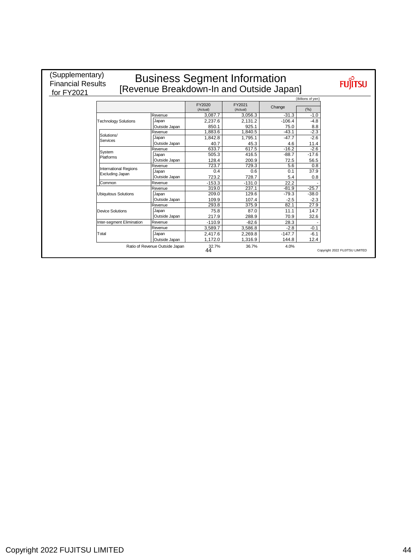| for FY2021 | (Supplementary)<br><b>Business Segment Information</b><br><b>Financial Results</b><br>[Revenue Breakdown-In and Outside Japan] |               |                    |                    |          |         |  |  |  |
|------------|--------------------------------------------------------------------------------------------------------------------------------|---------------|--------------------|--------------------|----------|---------|--|--|--|
|            | (Billions of yen)                                                                                                              |               |                    |                    |          |         |  |  |  |
|            |                                                                                                                                |               | FY2020<br>(Actual) | FY2021<br>(Actual) | Change   | (9/6)   |  |  |  |
|            |                                                                                                                                | Revenue       | 3.087.7            | 3.056.3            | $-31.3$  | $-1.0$  |  |  |  |
|            | <b>Technology Solutions</b>                                                                                                    | Japan         | 2,237.6            | 2.131.2            | $-106.4$ | $-4.8$  |  |  |  |
|            |                                                                                                                                | Outside Japan | 850.1              | 925.1              | 75.0     | 8.8     |  |  |  |
|            | Solutions/                                                                                                                     | Revenue       | 1.883.6            | 1.840.5            | $-43.1$  | $-2.3$  |  |  |  |
|            | Services                                                                                                                       | Japan         | 1.842.8            | 1.795.1            | $-47.7$  | $-2.6$  |  |  |  |
|            |                                                                                                                                | Outside Japan | 40.7               | 45.3               | 4.6      | 11.4    |  |  |  |
|            | System                                                                                                                         | Revenue       | 633.7              | 617.5              | $-16.2$  | $-2.6$  |  |  |  |
|            | Platforms                                                                                                                      | Japan         | 505.3              | 416.5              | $-88.7$  | $-17.6$ |  |  |  |
|            |                                                                                                                                | Outside Japan | 128.4              | 200.9              | 72.5     | 56.5    |  |  |  |
|            | International Regions                                                                                                          | Revenue       | 723.7              | 729.3              | 5.6      | 0.8     |  |  |  |
|            | <b>Excluding Japan</b>                                                                                                         | Japan         | 0.4                | 0.6                | 0.1      | 37.9    |  |  |  |
|            |                                                                                                                                | Outside Japan | 723.2              | 728.7              | 5.4      | 0.8     |  |  |  |
|            | Common                                                                                                                         | Revenue       | $-153.3$           | $-131.0$           | 22.2     |         |  |  |  |
|            |                                                                                                                                | Revenue       | 319.0              | 237.1              | $-81.9$  | $-25.7$ |  |  |  |
|            | <b>Ubiquitous Solutions</b>                                                                                                    | Japan         | 209.0              | 129.6              | $-79.3$  | $-38.0$ |  |  |  |
|            |                                                                                                                                | Outside Japan | 109.9              | 107.4              | $-2.5$   | $-2.3$  |  |  |  |
|            |                                                                                                                                | Revenue       | 293.8              | 375.9              | 82.1     | 27.9    |  |  |  |
|            | <b>Device Solutions</b>                                                                                                        | Japan         | 75.8               | 87.0               | 11.1     | 14.7    |  |  |  |
|            |                                                                                                                                | Outside Japan | 217.9              | 288.9              | 70.9     | 32.6    |  |  |  |
|            | Inter-segment Elimination                                                                                                      | Revenue       | $-110.9$           | $-82.6$            | 28.3     |         |  |  |  |
|            |                                                                                                                                | Revenue       | 3.589.7            | 3.586.8            | $-2.8$   | $-0.1$  |  |  |  |
|            | Total                                                                                                                          | Japan         | 2.417.6            | 2.269.8            | $-147.7$ | $-6.1$  |  |  |  |
|            |                                                                                                                                | Outside Japan | 1.172.0            | 1.316.9            | 144.8    | 12.4    |  |  |  |
|            | Ratio of Revenue Outside Japan<br>32.7%<br>36.7%<br>4.0%<br>44<br>Copyright 2022 FUJITSU LIMITED                               |               |                    |                    |          |         |  |  |  |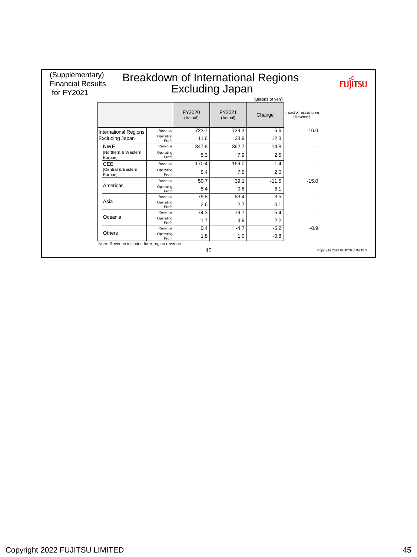| (Supplementary)<br><b>Breakdown of International Regions</b><br><b>Financial Results</b><br><b>Excluding Japan</b><br>for FY2021 |                                              |                               |                    |         |                                      |                                |  |  |  |  |
|----------------------------------------------------------------------------------------------------------------------------------|----------------------------------------------|-------------------------------|--------------------|---------|--------------------------------------|--------------------------------|--|--|--|--|
|                                                                                                                                  | (Billions of yen)                            |                               |                    |         |                                      |                                |  |  |  |  |
|                                                                                                                                  |                                              | FY2020<br>(Actual)            | FY2021<br>(Actual) | Change  | Impact of restructuring<br>[Revenue] |                                |  |  |  |  |
|                                                                                                                                  | <b>International Regions</b>                 | Revenue<br>723.7              | 729.3              | 5.6     | $-16.0$                              |                                |  |  |  |  |
|                                                                                                                                  | <b>Excluding Japan</b>                       | Operating<br>11.6<br>Profit   | 23.9               | 12.3    |                                      |                                |  |  |  |  |
|                                                                                                                                  | <b>NWF</b>                                   | 347.8<br>Revenue              | 362.7              | 14.8    |                                      |                                |  |  |  |  |
|                                                                                                                                  | INorthern & Western<br>Europe]               | Operating<br>5.3<br>Profit    | 7.9                | 2.5     |                                      |                                |  |  |  |  |
|                                                                                                                                  | <b>CEE</b>                                   | 170.4<br>Revenue              | 169.0              | $-1.4$  |                                      |                                |  |  |  |  |
|                                                                                                                                  | ICentral & Eastern<br>Europel                | Operating<br>5.4<br>Profit    | 7.5                | 2.0     |                                      |                                |  |  |  |  |
|                                                                                                                                  |                                              | 50.7<br>Revenue               | 39.1               | $-11.5$ | $-15.0$                              |                                |  |  |  |  |
|                                                                                                                                  | Americas                                     | Operating<br>$-5.4$<br>Profit | 0.6                | 6.1     |                                      |                                |  |  |  |  |
|                                                                                                                                  |                                              | 79.8<br>Revenue               | 83.4               | 3.5     |                                      |                                |  |  |  |  |
|                                                                                                                                  | Asia                                         | Operating<br>2.6<br>Profit    | 2.7                | 0.1     |                                      |                                |  |  |  |  |
|                                                                                                                                  |                                              | 74.3<br>Revenue               | 79.7               | 5.4     |                                      |                                |  |  |  |  |
|                                                                                                                                  | <b>Oceania</b>                               | Operating<br>1.7<br>Profit    | 3.9                | 2.2     |                                      |                                |  |  |  |  |
|                                                                                                                                  |                                              | 0.4<br>Revenue                | $-4.7$             | $-5.2$  | $-0.9$                               |                                |  |  |  |  |
|                                                                                                                                  | <b>Others</b>                                | Operating<br>1.8<br>Profit    | 1.0                | $-0.8$  |                                      |                                |  |  |  |  |
|                                                                                                                                  | Note: Revenue includes Inter-region revenue. |                               | 45                 |         |                                      | Copyright 2022 FUJITSU LIMITED |  |  |  |  |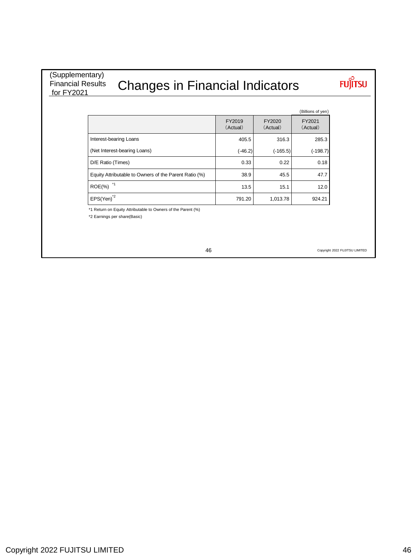(Supplementary) Financial Results for FY2021

# Changes in Financial Indicators

# **FUJITSU**

| (Billions of yen) |
|-------------------|
| .                 |

|                                                       | FY2019<br>(Actual) | FY2020<br>(Actual) | FY2021<br>(Actual) |
|-------------------------------------------------------|--------------------|--------------------|--------------------|
| Interest-bearing Loans                                | 405.5              | 316.3              | 285.3              |
| (Net Interest-bearing Loans)                          | $(-46.2)$          | (-165.5)           | (-198.7)           |
| D/E Ratio (Times)                                     | 0.33               | 0.22               | 0.18               |
| Equity Attributable to Owners of the Parent Ratio (%) | 38.9               | 45.5               | 47.7               |
| $ROE(\% )$                                            | 13.5               | 15.1               | 12.0               |
| $EPS(Yen)^{2}$                                        | 791.20             | 1,013.78           | 924.21             |

\*1 Return on Equity Attributable to Owners of the Parent (%)

\*2 Earnings per share(Basic)

46

Copyright 2022 FUJITSU LIMITED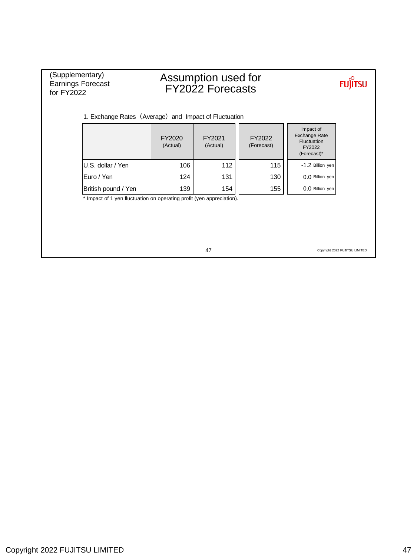| (Supplementary)<br><b>Earnings Forecast</b><br>for FY2022             |                                                       | Assumption used for<br><b>FY2022 Forecasts</b> |                      |                                                                           |                                |  |  |  |
|-----------------------------------------------------------------------|-------------------------------------------------------|------------------------------------------------|----------------------|---------------------------------------------------------------------------|--------------------------------|--|--|--|
|                                                                       | 1. Exchange Rates (Average) and Impact of Fluctuation |                                                |                      |                                                                           |                                |  |  |  |
|                                                                       | FY2020<br>(Actual)                                    | FY2021<br>(Actual)                             | FY2022<br>(Forecast) | Impact of<br><b>Exchange Rate</b><br>Fluctuation<br>FY2022<br>(Forecast)* |                                |  |  |  |
| U.S. dollar / Yen                                                     | 106                                                   | 112                                            | 115                  | -1.2 Billion yen                                                          |                                |  |  |  |
| Euro / Yen                                                            | 124                                                   | 131                                            | 130                  | 0.0 Billion yen                                                           |                                |  |  |  |
| British pound / Yen                                                   | 139                                                   | 154                                            | 155                  | 0.0 Billion yen                                                           |                                |  |  |  |
| * Impact of 1 yen fluctuation on operating profit (yen appreciation). |                                                       | 47                                             |                      |                                                                           | Copyright 2022 FUJITSU LIMITED |  |  |  |

47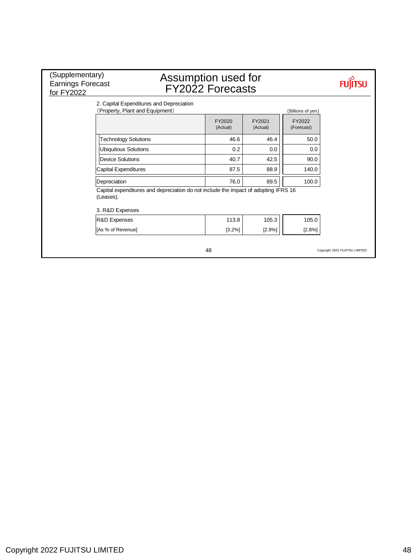| (Supplementary)<br><b>Earnings Forecast</b><br>for FY2022 | Assumption used for                                                                 | <b>FY2022 Forecasts</b> |                    |                      |                                |
|-----------------------------------------------------------|-------------------------------------------------------------------------------------|-------------------------|--------------------|----------------------|--------------------------------|
|                                                           | 2. Capital Expenditures and Depreciation<br>(Property, Plant and Equipment)         |                         |                    | (Billions of yen)    |                                |
|                                                           |                                                                                     | FY2020<br>(Actual)      | FY2021<br>(Actual) | FY2022<br>(Forecast) |                                |
| <b>Technology Solutions</b>                               |                                                                                     | 46.6                    | 46.4               | 50.0                 |                                |
| <b>Ubiquitous Solutions</b>                               |                                                                                     | 0.2                     | 0.0                | 0.0                  |                                |
| <b>Device Solutions</b>                                   |                                                                                     | 40.7                    | 42.5               | 90.0                 |                                |
| <b>Capital Expenditures</b>                               |                                                                                     | 87.5                    | 88.9               | 140.0                |                                |
| Depreciation                                              |                                                                                     | 76.0                    | 89.5               | 100.0                |                                |
| (Leases).<br>3. R&D Expenses                              | Capital expenditures and depreciation do not include the impact of adopting IFRS 16 |                         |                    |                      |                                |
| R&D Expenses                                              |                                                                                     | 113.8                   | 105.3              | 105.0                |                                |
| [As % of Revenue]                                         |                                                                                     | [3.2%]                  | [2.9%]             | [2.8%]               |                                |
|                                                           |                                                                                     | 48                      |                    |                      | Copyright 2022 FUJITSU LIMITED |